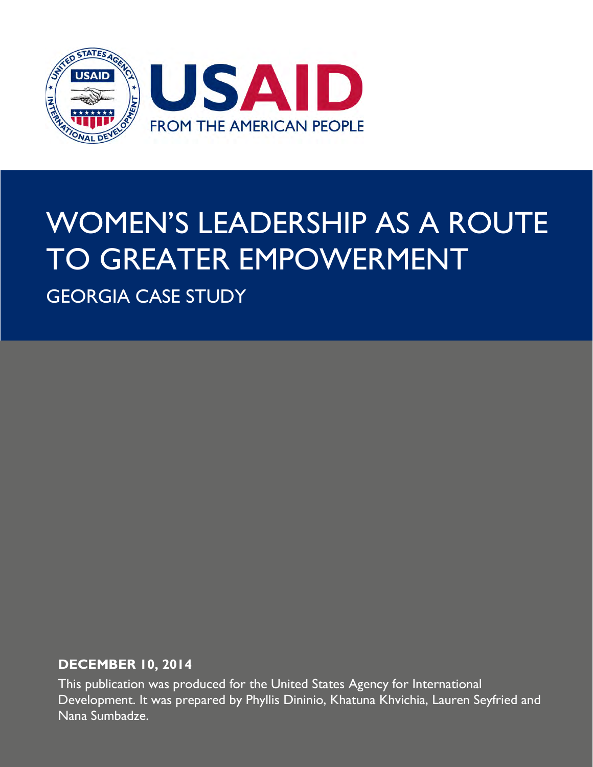

# WOMEN'S LEADERSHIP AS A ROUTE TO GREATER EMPOWERMENT

GEORGIA CASE STUDY

## **DECEMBER 10, 2014**

This publication was produced for the United States Agency for International Development. It was prepared by Phyllis Dininio, Khatuna Khvichia, Lauren Seyfried and Nana Sumbadze.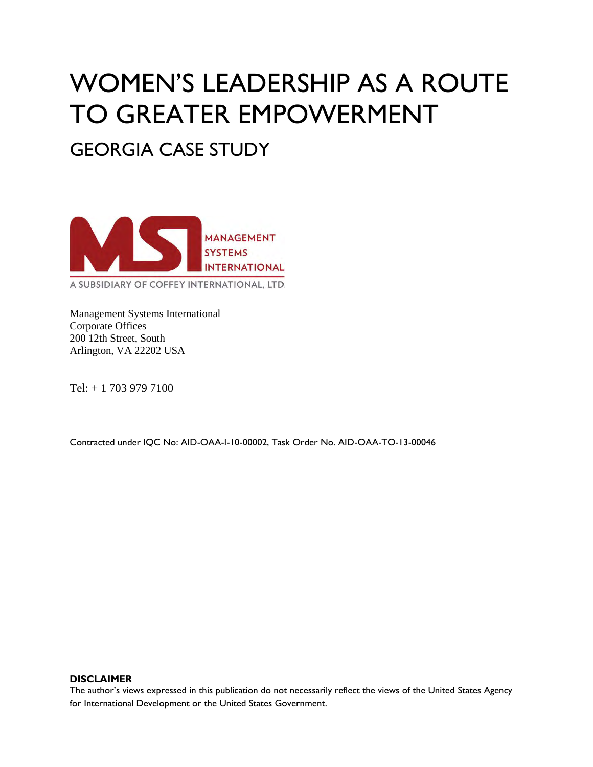# WOMEN'S LEADERSHIP AS A ROUTE TO GREATER EMPOWERMENT

GEORGIA CASE STUDY



Management Systems International Corporate Offices 200 12th Street, South Arlington, VA 22202 USA

Tel: + 1 703 979 7100

Contracted under IQC No: AID-OAA-I-10-00002, Task Order No. AID-OAA-TO-13-00046

#### **DISCLAIMER**

The author's views expressed in this publication do not necessarily reflect the views of the United States Agency for International Development or the United States Government.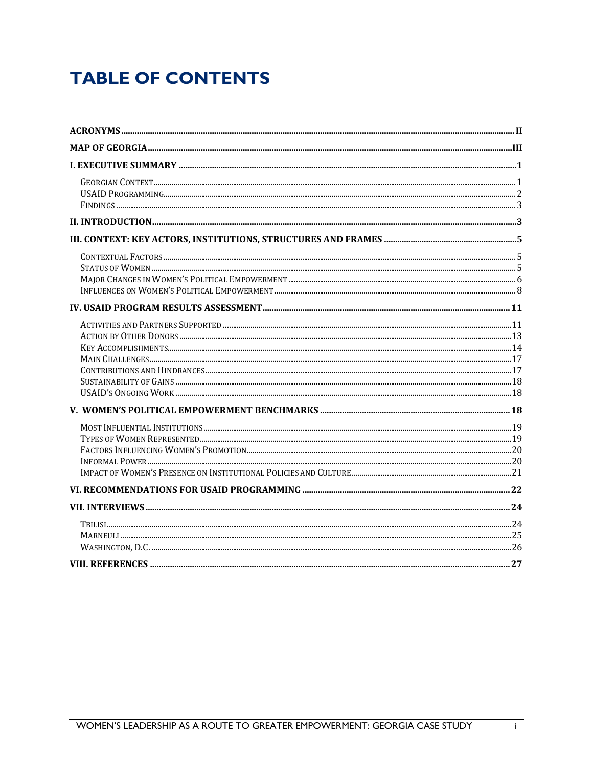# **TABLE OF CONTENTS**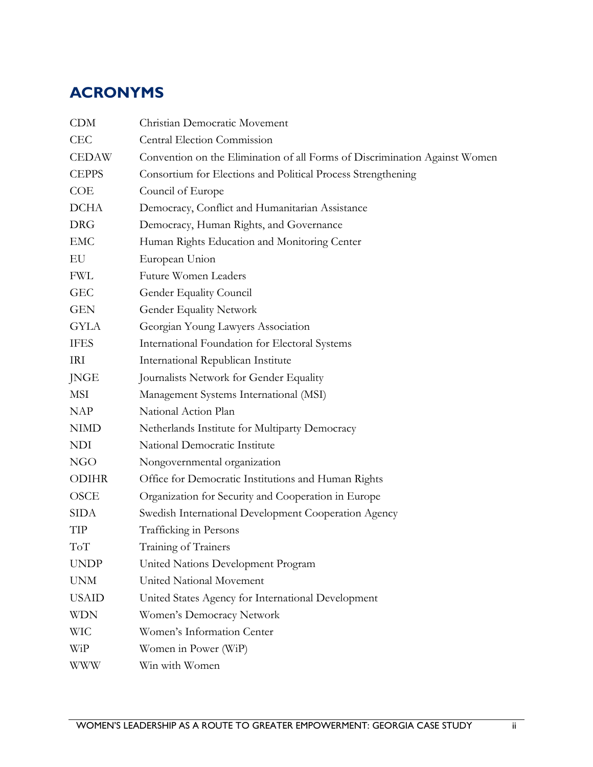# <span id="page-3-0"></span>**ACRONYMS**

| <b>CDM</b>   | Christian Democratic Movement                                              |
|--------------|----------------------------------------------------------------------------|
| <b>CEC</b>   | Central Election Commission                                                |
| <b>CEDAW</b> | Convention on the Elimination of all Forms of Discrimination Against Women |
| <b>CEPPS</b> | Consortium for Elections and Political Process Strengthening               |
| <b>COE</b>   | Council of Europe                                                          |
| <b>DCHA</b>  | Democracy, Conflict and Humanitarian Assistance                            |
| <b>DRG</b>   | Democracy, Human Rights, and Governance                                    |
| <b>EMC</b>   | Human Rights Education and Monitoring Center                               |
| EU           | European Union                                                             |
| <b>FWL</b>   | Future Women Leaders                                                       |
| <b>GEC</b>   | Gender Equality Council                                                    |
| <b>GEN</b>   | <b>Gender Equality Network</b>                                             |
| <b>GYLA</b>  | Georgian Young Lawyers Association                                         |
| <b>IFES</b>  | International Foundation for Electoral Systems                             |
| IRI          | International Republican Institute                                         |
| <b>JNGE</b>  | Journalists Network for Gender Equality                                    |
| <b>MSI</b>   | Management Systems International (MSI)                                     |
| NAP          | National Action Plan                                                       |
| <b>NIMD</b>  | Netherlands Institute for Multiparty Democracy                             |
| <b>NDI</b>   | National Democratic Institute                                              |
| NGO          | Nongovernmental organization                                               |
| <b>ODIHR</b> | Office for Democratic Institutions and Human Rights                        |
| <b>OSCE</b>  | Organization for Security and Cooperation in Europe                        |
| SIDA         | Swedish International Development Cooperation Agency                       |
| TIP          | Trafficking in Persons                                                     |
| ToT          | Training of Trainers                                                       |
| <b>UNDP</b>  | United Nations Development Program                                         |
| <b>UNM</b>   | United National Movement                                                   |
| <b>USAID</b> | United States Agency for International Development                         |
| <b>WDN</b>   | Women's Democracy Network                                                  |
| <b>WIC</b>   | Women's Information Center                                                 |
| WiP          | Women in Power (WiP)                                                       |
| WWW          | Win with Women                                                             |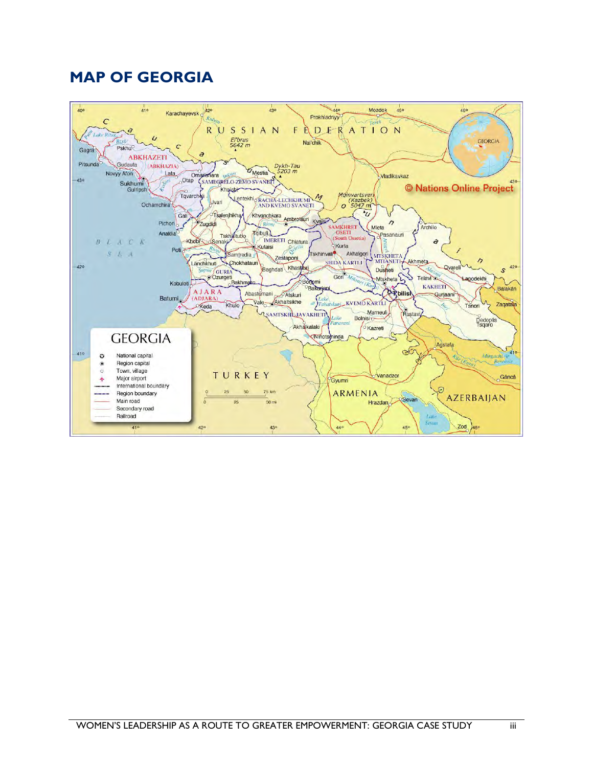## <span id="page-4-0"></span>**MAP OF GEORGIA**

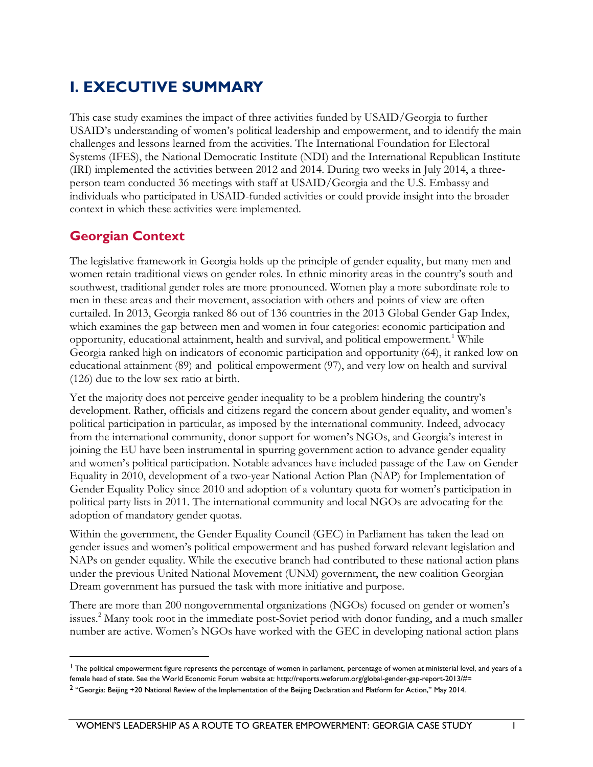# <span id="page-5-0"></span>**I. EXECUTIVE SUMMARY**

This case study examines the impact of three activities funded by USAID/Georgia to further USAID's understanding of women's political leadership and empowerment, and to identify the main challenges and lessons learned from the activities. The International Foundation for Electoral Systems (IFES), the National Democratic Institute (NDI) and the International Republican Institute (IRI) implemented the activities between 2012 and 2014. During two weeks in July 2014, a threeperson team conducted 36 meetings with staff at USAID/Georgia and the U.S. Embassy and individuals who participated in USAID-funded activities or could provide insight into the broader context in which these activities were implemented.

## <span id="page-5-1"></span>**Georgian Context**

 $\overline{a}$ 

The legislative framework in Georgia holds up the principle of gender equality, but many men and women retain traditional views on gender roles. In ethnic minority areas in the country's south and southwest, traditional gender roles are more pronounced. Women play a more subordinate role to men in these areas and their movement, association with others and points of view are often curtailed. In 2013, Georgia ranked 86 out of 136 countries in the 2013 Global Gender Gap Index, which examines the gap between men and women in four categories: economic participation and opportunity, educational attainment, health and survival, and political empowerment.<sup>1</sup> While Georgia ranked high on indicators of economic participation and opportunity (64), it ranked low on educational attainment (89) and political empowerment (97), and very low on health and survival (126) due to the low sex ratio at birth.

Yet the majority does not perceive gender inequality to be a problem hindering the country's development. Rather, officials and citizens regard the concern about gender equality, and women's political participation in particular, as imposed by the international community. Indeed, advocacy from the international community, donor support for women's NGOs, and Georgia's interest in joining the EU have been instrumental in spurring government action to advance gender equality and women's political participation. Notable advances have included passage of the Law on Gender Equality in 2010, development of a two-year National Action Plan (NAP) for Implementation of Gender Equality Policy since 2010 and adoption of a voluntary quota for women's participation in political party lists in 2011. The international community and local NGOs are advocating for the adoption of mandatory gender quotas.

Within the government, the Gender Equality Council (GEC) in Parliament has taken the lead on gender issues and women's political empowerment and has pushed forward relevant legislation and NAPs on gender equality. While the executive branch had contributed to these national action plans under the previous United National Movement (UNM) government, the new coalition Georgian Dream government has pursued the task with more initiative and purpose.

There are more than 200 nongovernmental organizations (NGOs) focused on gender or women's issues.<sup>2</sup> Many took root in the immediate post-Soviet period with donor funding, and a much smaller number are active. Women's NGOs have worked with the GEC in developing national action plans

<sup>&</sup>lt;sup>1</sup> The political empowerment figure represents the percentage of women in parliament, percentage of women at ministerial level, and years of a female head of state. See the World Economic Forum website at: http://reports.weforum.org/global-gender-gap-report-2013/#=

<sup>2</sup> "Georgia: Beijing +20 National Review of the Implementation of the Beijing Declaration and Platform for Action," May 2014.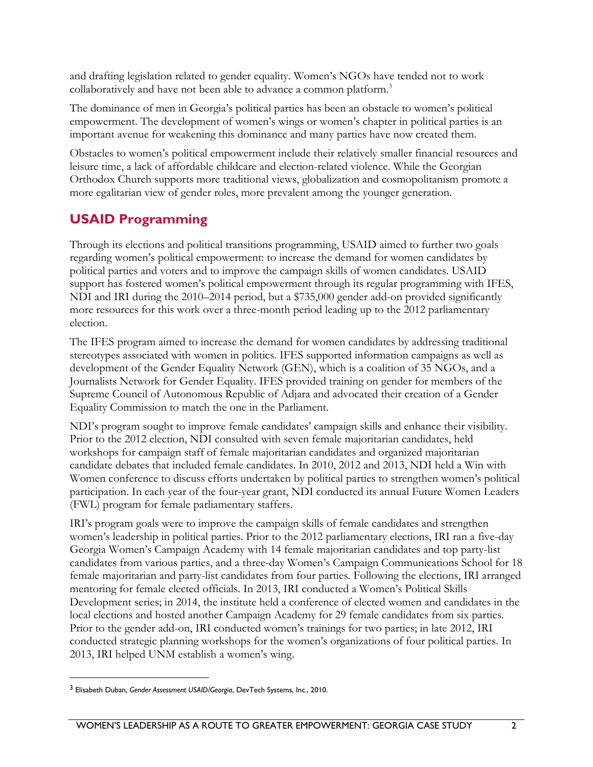and drafting legislation related to gender equality. Women's NGOs have tended not to work collaboratively and have not been able to advance a common platform.<sup>3</sup>

The dominance of men in Georgia's political parties has been an obstacle to women's political empowerment. The development of women's wings or women's chapter in political parties is an important avenue for weakening this dominance and many parties have now created them.

Obstacles to women's political empowerment include their relatively smaller financial resources and leisure time, a lack of affordable childcare and election-related violence. While the Georgian Orthodox Church supports more traditional views, globalization and cosmopolitanism promote a more egalitarian view of gender roles, more prevalent among the younger generation.

## <span id="page-6-0"></span>**USAID Programming**

Through its elections and political transitions programming, USAID aimed to further two goals regarding women's political empowerment: to increase the demand for women candidates by political parties and voters and to improve the campaign skills of women candidates. USAID support has fostered women's political empowerment through its regular programming with IFES, NDI and IRI during the 2010–2014 period, but a \$735,000 gender add-on provided significantly more resources for this work over a three-month period leading up to the 2012 parliamentary election.

The IFES program aimed to increase the demand for women candidates by addressing traditional stereotypes associated with women in politics. IFES supported information campaigns as well as development of the Gender Equality Network (GEN), which is a coalition of 35 NGOs, and a Journalists Network for Gender Equality. IFES provided training on gender for members of the Supreme Council of Autonomous Republic of Adjara and advocated their creation of a Gender Equality Commission to match the one in the Parliament.

NDI's program sought to improve female candidates' campaign skills and enhance their visibility. Prior to the 2012 election, NDI consulted with seven female majoritarian candidates, held workshops for campaign staff of female majoritarian candidates and organized majoritarian candidate debates that included female candidates. In 2010, 2012 and 2013, NDI held a Win with Women conference to discuss efforts undertaken by political parties to strengthen women's political participation. In each year of the four-year grant, NDI conducted its annual Future Women Leaders (FWL) program for female parliamentary staffers.

IRI's program goals were to improve the campaign skills of female candidates and strengthen women's leadership in political parties. Prior to the 2012 parliamentary elections, IRI ran a five-day Georgia Women's Campaign Academy with 14 female majoritarian candidates and top party-list candidates from various parties, and a three-day Women's Campaign Communications School for 18 female majoritarian and party-list candidates from four parties. Following the elections, IRI arranged mentoring for female elected officials. In 2013, IRI conducted a Women's Political Skills Development series; in 2014, the institute held a conference of elected women and candidates in the local elections and hosted another Campaign Academy for 29 female candidates from six parties. Prior to the gender add-on, IRI conducted women's trainings for two parties; in late 2012, IRI conducted strategic planning workshops for the women's organizations of four political parties. In 2013, IRI helped UNM establish a women's wing.

<sup>3</sup> Elisabeth Duban, *Gender Assessment USAID/Georgia*, DevTech Systems, Inc., 2010.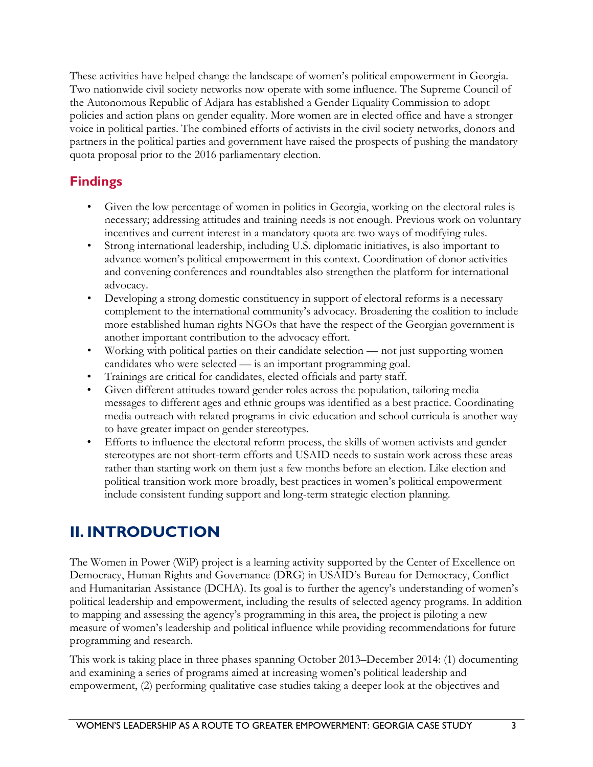These activities have helped change the landscape of women's political empowerment in Georgia. Two nationwide civil society networks now operate with some influence. The Supreme Council of the Autonomous Republic of Adjara has established a Gender Equality Commission to adopt policies and action plans on gender equality. More women are in elected office and have a stronger voice in political parties. The combined efforts of activists in the civil society networks, donors and partners in the political parties and government have raised the prospects of pushing the mandatory quota proposal prior to the 2016 parliamentary election.

## <span id="page-7-0"></span>**Findings**

- Given the low percentage of women in politics in Georgia, working on the electoral rules is necessary; addressing attitudes and training needs is not enough. Previous work on voluntary incentives and current interest in a mandatory quota are two ways of modifying rules.
- Strong international leadership, including U.S. diplomatic initiatives, is also important to advance women's political empowerment in this context. Coordination of donor activities and convening conferences and roundtables also strengthen the platform for international advocacy.
- Developing a strong domestic constituency in support of electoral reforms is a necessary complement to the international community's advocacy. Broadening the coalition to include more established human rights NGOs that have the respect of the Georgian government is another important contribution to the advocacy effort.
- Working with political parties on their candidate selection not just supporting women candidates who were selected — is an important programming goal.
- Trainings are critical for candidates, elected officials and party staff.
- Given different attitudes toward gender roles across the population, tailoring media messages to different ages and ethnic groups was identified as a best practice. Coordinating media outreach with related programs in civic education and school curricula is another way to have greater impact on gender stereotypes.
- Efforts to influence the electoral reform process, the skills of women activists and gender stereotypes are not short-term efforts and USAID needs to sustain work across these areas rather than starting work on them just a few months before an election. Like election and political transition work more broadly, best practices in women's political empowerment include consistent funding support and long-term strategic election planning.

# <span id="page-7-1"></span>**II. INTRODUCTION**

The Women in Power (WiP) project is a learning activity supported by the Center of Excellence on Democracy, Human Rights and Governance (DRG) in USAID's Bureau for Democracy, Conflict and Humanitarian Assistance (DCHA). Its goal is to further the agency's understanding of women's political leadership and empowerment, including the results of selected agency programs. In addition to mapping and assessing the agency's programming in this area, the project is piloting a new measure of women's leadership and political influence while providing recommendations for future programming and research.

This work is taking place in three phases spanning October 2013–December 2014: (1) documenting and examining a series of programs aimed at increasing women's political leadership and empowerment, (2) performing qualitative case studies taking a deeper look at the objectives and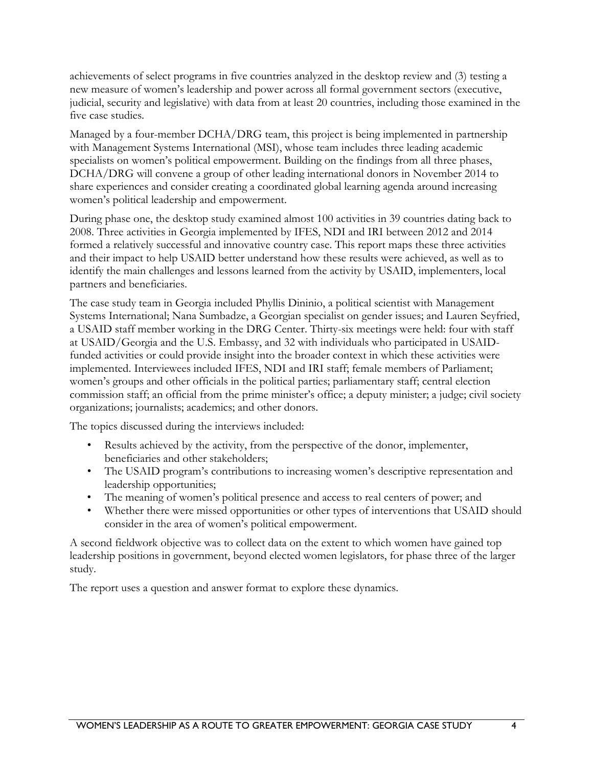achievements of select programs in five countries analyzed in the desktop review and (3) testing a new measure of women's leadership and power across all formal government sectors (executive, judicial, security and legislative) with data from at least 20 countries, including those examined in the five case studies.

Managed by a four-member DCHA/DRG team, this project is being implemented in partnership with Management Systems International (MSI), whose team includes three leading academic specialists on women's political empowerment. Building on the findings from all three phases, DCHA/DRG will convene a group of other leading international donors in November 2014 to share experiences and consider creating a coordinated global learning agenda around increasing women's political leadership and empowerment.

During phase one, the desktop study examined almost 100 activities in 39 countries dating back to 2008. Three activities in Georgia implemented by IFES, NDI and IRI between 2012 and 2014 formed a relatively successful and innovative country case. This report maps these three activities and their impact to help USAID better understand how these results were achieved, as well as to identify the main challenges and lessons learned from the activity by USAID, implementers, local partners and beneficiaries.

The case study team in Georgia included Phyllis Dininio, a political scientist with Management Systems International; Nana Sumbadze, a Georgian specialist on gender issues; and Lauren Seyfried, a USAID staff member working in the DRG Center. Thirty-six meetings were held: four with staff at USAID/Georgia and the U.S. Embassy, and 32 with individuals who participated in USAIDfunded activities or could provide insight into the broader context in which these activities were implemented. Interviewees included IFES, NDI and IRI staff; female members of Parliament; women's groups and other officials in the political parties; parliamentary staff; central election commission staff; an official from the prime minister's office; a deputy minister; a judge; civil society organizations; journalists; academics; and other donors.

The topics discussed during the interviews included:

- Results achieved by the activity, from the perspective of the donor, implementer, beneficiaries and other stakeholders;
- The USAID program's contributions to increasing women's descriptive representation and leadership opportunities;
- The meaning of women's political presence and access to real centers of power; and
- Whether there were missed opportunities or other types of interventions that USAID should consider in the area of women's political empowerment.

A second fieldwork objective was to collect data on the extent to which women have gained top leadership positions in government, beyond elected women legislators, for phase three of the larger study.

The report uses a question and answer format to explore these dynamics.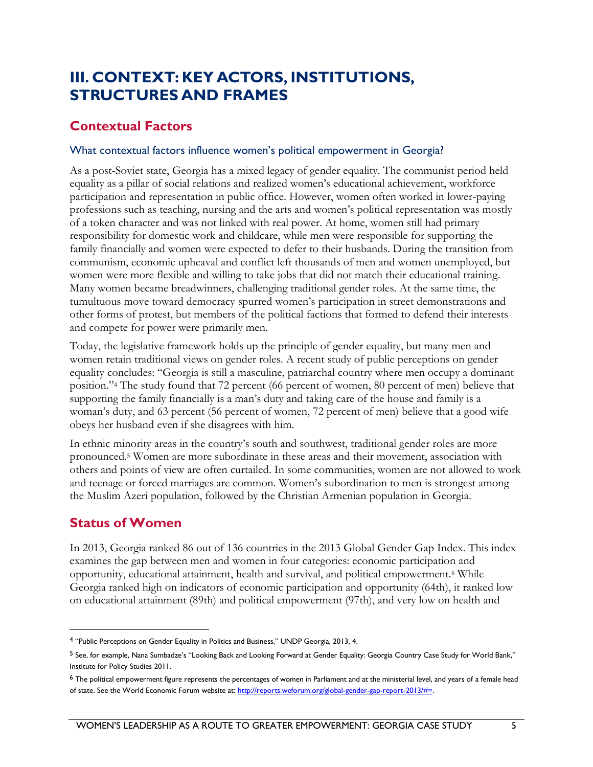# <span id="page-9-0"></span>**III. CONTEXT: KEY ACTORS, INSTITUTIONS, STRUCTURES AND FRAMES**

## <span id="page-9-1"></span>**Contextual Factors**

#### What contextual factors influence women's political empowerment in Georgia?

As a post-Soviet state, Georgia has a mixed legacy of gender equality. The communist period held equality as a pillar of social relations and realized women's educational achievement, workforce participation and representation in public office. However, women often worked in lower-paying professions such as teaching, nursing and the arts and women's political representation was mostly of a token character and was not linked with real power. At home, women still had primary responsibility for domestic work and childcare, while men were responsible for supporting the family financially and women were expected to defer to their husbands. During the transition from communism, economic upheaval and conflict left thousands of men and women unemployed, but women were more flexible and willing to take jobs that did not match their educational training. Many women became breadwinners, challenging traditional gender roles. At the same time, the tumultuous move toward democracy spurred women's participation in street demonstrations and other forms of protest, but members of the political factions that formed to defend their interests and compete for power were primarily men.

Today, the legislative framework holds up the principle of gender equality, but many men and women retain traditional views on gender roles. A recent study of public perceptions on gender equality concludes: "Georgia is still a masculine, patriarchal country where men occupy a dominant position."<sup>4</sup> The study found that 72 percent (66 percent of women, 80 percent of men) believe that supporting the family financially is a man's duty and taking care of the house and family is a woman's duty, and 63 percent (56 percent of women, 72 percent of men) believe that a good wife obeys her husband even if she disagrees with him.

In ethnic minority areas in the country's south and southwest, traditional gender roles are more pronounced.<sup>5</sup> Women are more subordinate in these areas and their movement, association with others and points of view are often curtailed. In some communities, women are not allowed to work and teenage or forced marriages are common. Women's subordination to men is strongest among the Muslim Azeri population, followed by the Christian Armenian population in Georgia.

## <span id="page-9-2"></span>**Status of Women**

 $\overline{a}$ 

In 2013, Georgia ranked 86 out of 136 countries in the 2013 Global Gender Gap Index. This index examines the gap between men and women in four categories: economic participation and opportunity, educational attainment, health and survival, and political empowerment.<sup>6</sup> While Georgia ranked high on indicators of economic participation and opportunity (64th), it ranked low on educational attainment (89th) and political empowerment (97th), and very low on health and

<sup>4</sup> "Public Perceptions on Gender Equality in Politics and Business," UNDP Georgia, 2013, 4.

<sup>5</sup> See, for example, Nana Sumbadze's "Looking Back and Looking Forward at Gender Equality: Georgia Country Case Study for World Bank," Institute for Policy Studies 2011.

<sup>6</sup> The political empowerment figure represents the percentages of women in Parliament and at the ministerial level, and years of a female head of state. See the World Economic Forum website at: http://reports.weforum.org/global-gender-gap-report-2013/#=.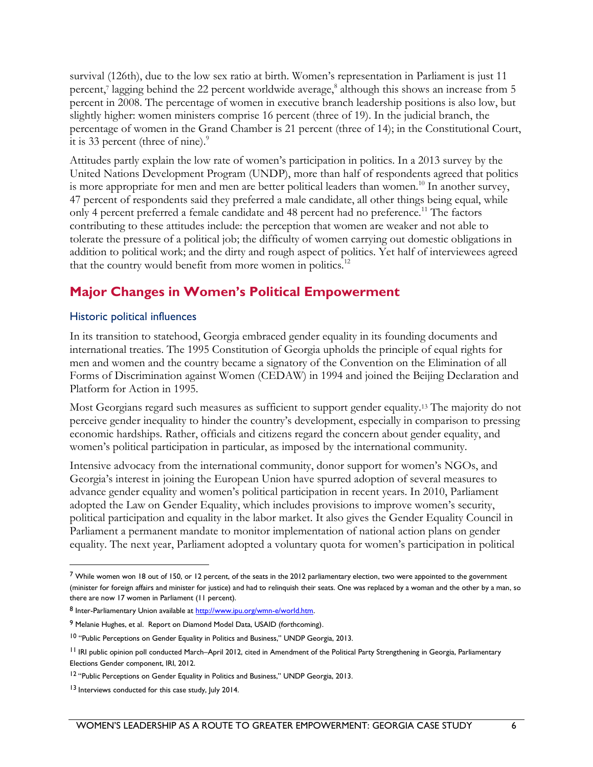survival (126th), due to the low sex ratio at birth. Women's representation in Parliament is just 11 percent,<sup>7</sup> lagging behind the 22 percent worldwide average,<sup>8</sup> although this shows an increase from 5 percent in 2008. The percentage of women in executive branch leadership positions is also low, but slightly higher: women ministers comprise 16 percent (three of 19). In the judicial branch, the percentage of women in the Grand Chamber is 21 percent (three of 14); in the Constitutional Court, it is 33 percent (three of nine). $\degree$ 

Attitudes partly explain the low rate of women's participation in politics. In a 2013 survey by the United Nations Development Program (UNDP), more than half of respondents agreed that politics is more appropriate for men and men are better political leaders than women.<sup>10</sup> In another survey, 47 percent of respondents said they preferred a male candidate, all other things being equal, while only 4 percent preferred a female candidate and 48 percent had no preference.<sup>11</sup> The factors contributing to these attitudes include: the perception that women are weaker and not able to tolerate the pressure of a political job; the difficulty of women carrying out domestic obligations in addition to political work; and the dirty and rough aspect of politics. Yet half of interviewees agreed that the country would benefit from more women in politics.<sup>12</sup>

## <span id="page-10-0"></span>**Major Changes in Women's Political Empowerment**

#### Historic political influences

In its transition to statehood, Georgia embraced gender equality in its founding documents and international treaties. The 1995 Constitution of Georgia upholds the principle of equal rights for men and women and the country became a signatory of the Convention on the Elimination of all Forms of Discrimination against Women (CEDAW) in 1994 and joined the Beijing Declaration and Platform for Action in 1995.

Most Georgians regard such measures as sufficient to support gender equality.<sup>13</sup> The majority do not perceive gender inequality to hinder the country's development, especially in comparison to pressing economic hardships. Rather, officials and citizens regard the concern about gender equality, and women's political participation in particular, as imposed by the international community.

Intensive advocacy from the international community, donor support for women's NGOs, and Georgia's interest in joining the European Union have spurred adoption of several measures to advance gender equality and women's political participation in recent years. In 2010, Parliament adopted the Law on Gender Equality, which includes provisions to improve women's security, political participation and equality in the labor market. It also gives the Gender Equality Council in Parliament a permanent mandate to monitor implementation of national action plans on gender equality. The next year, Parliament adopted a voluntary quota for women's participation in political

 $7$  While women won 18 out of 150, or 12 percent, of the seats in the 2012 parliamentary election, two were appointed to the government (minister for foreign affairs and minister for justice) and had to relinquish their seats. One was replaced by a woman and the other by a man, so there are now 17 women in Parliament (11 percent).

<sup>8</sup> Inter-Parliamentary Union available at http://www.ipu.org/wmn-e/world.htm.

<sup>9</sup> Melanie Hughes, et al. Report on Diamond Model Data, USAID (forthcoming).

<sup>&</sup>lt;sup>10</sup> "Public Perceptions on Gender Equality in Politics and Business," UNDP Georgia, 2013.

<sup>&</sup>lt;sup>11</sup> IRI public opinion poll conducted March–April 2012, cited in Amendment of the Political Party Strengthening in Georgia, Parliamentary Elections Gender component, IRI, 2012.

<sup>&</sup>lt;sup>12</sup> "Public Perceptions on Gender Equality in Politics and Business," UNDP Georgia, 2013.

<sup>13</sup> Interviews conducted for this case study, July 2014.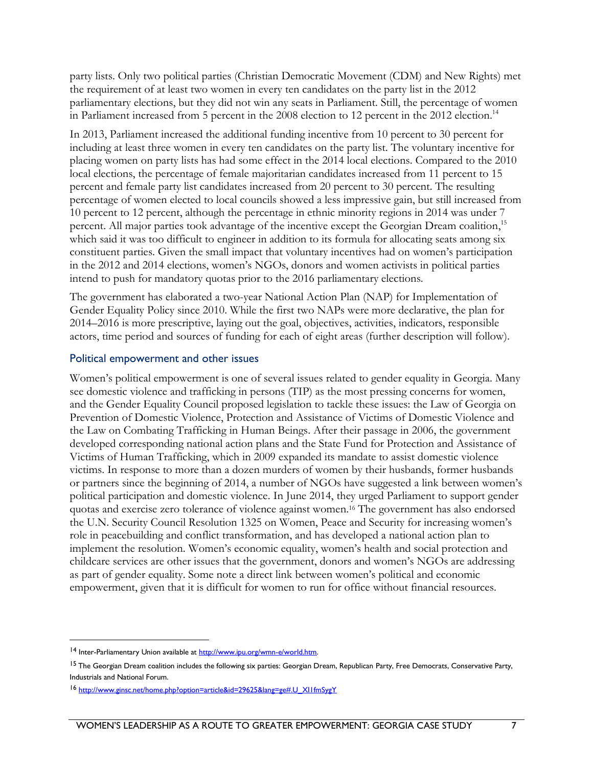party lists. Only two political parties (Christian Democratic Movement (CDM) and New Rights) met the requirement of at least two women in every ten candidates on the party list in the 2012 parliamentary elections, but they did not win any seats in Parliament. Still, the percentage of women in Parliament increased from 5 percent in the 2008 election to 12 percent in the 2012 election.<sup>14</sup>

In 2013, Parliament increased the additional funding incentive from 10 percent to 30 percent for including at least three women in every ten candidates on the party list. The voluntary incentive for placing women on party lists has had some effect in the 2014 local elections. Compared to the 2010 local elections, the percentage of female majoritarian candidates increased from 11 percent to 15 percent and female party list candidates increased from 20 percent to 30 percent. The resulting percentage of women elected to local councils showed a less impressive gain, but still increased from 10 percent to 12 percent, although the percentage in ethnic minority regions in 2014 was under 7 percent. All major parties took advantage of the incentive except the Georgian Dream coalition,<sup>15</sup> which said it was too difficult to engineer in addition to its formula for allocating seats among six constituent parties. Given the small impact that voluntary incentives had on women's participation in the 2012 and 2014 elections, women's NGOs, donors and women activists in political parties intend to push for mandatory quotas prior to the 2016 parliamentary elections.

The government has elaborated a two-year National Action Plan (NAP) for Implementation of Gender Equality Policy since 2010. While the first two NAPs were more declarative, the plan for 2014–2016 is more prescriptive, laying out the goal, objectives, activities, indicators, responsible actors, time period and sources of funding for each of eight areas (further description will follow).

#### Political empowerment and other issues

Women's political empowerment is one of several issues related to gender equality in Georgia. Many see domestic violence and trafficking in persons (TIP) as the most pressing concerns for women, and the Gender Equality Council proposed legislation to tackle these issues: the Law of Georgia on Prevention of Domestic Violence, Protection and Assistance of Victims of Domestic Violence and the Law on Combating Trafficking in Human Beings. After their passage in 2006, the government developed corresponding national action plans and the State Fund for Protection and Assistance of Victims of Human Trafficking, which in 2009 expanded its mandate to assist domestic violence victims. In response to more than a dozen murders of women by their husbands, former husbands or partners since the beginning of 2014, a number of NGOs have suggested a link between women's political participation and domestic violence. In June 2014, they urged Parliament to support gender quotas and exercise zero tolerance of violence against women.<sup>16</sup> The government has also endorsed the U.N. Security Council Resolution 1325 on Women, Peace and Security for increasing women's role in peacebuilding and conflict transformation, and has developed a national action plan to implement the resolution. Women's economic equality, women's health and social protection and childcare services are other issues that the government, donors and women's NGOs are addressing as part of gender equality. Some note a direct link between women's political and economic empowerment, given that it is difficult for women to run for office without financial resources.

<sup>14</sup> Inter-Parliamentary Union available at http://www.ipu.org/wmn-e/world.htm.

<sup>&</sup>lt;sup>15</sup> The Georgian Dream coalition includes the following six parties: Georgian Dream, Republican Party, Free Democrats, Conservative Party, Industrials and National Forum.

<sup>16</sup> [http://www.ginsc.net/home.php?option=article&id=29625&lang=ge#.U\\_XI1fmSygY](http://www.ginsc.net/home.php?option=article&id=29625&lang=ge%23.U_XI1fmSygY)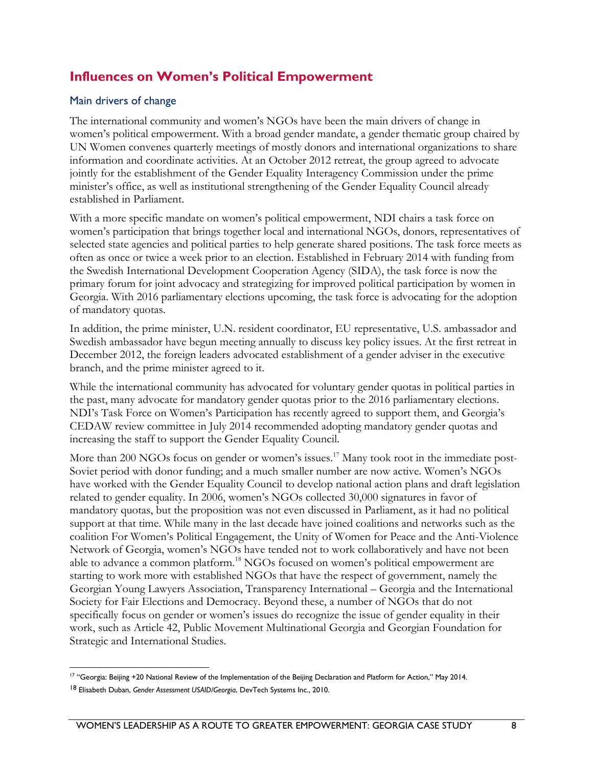## <span id="page-12-0"></span>**Influences on Women's Political Empowerment**

#### Main drivers of change

The international community and women's NGOs have been the main drivers of change in women's political empowerment. With a broad gender mandate, a gender thematic group chaired by UN Women convenes quarterly meetings of mostly donors and international organizations to share information and coordinate activities. At an October 2012 retreat, the group agreed to advocate jointly for the establishment of the Gender Equality Interagency Commission under the prime minister's office, as well as institutional strengthening of the Gender Equality Council already established in Parliament.

With a more specific mandate on women's political empowerment, NDI chairs a task force on women's participation that brings together local and international NGOs, donors, representatives of selected state agencies and political parties to help generate shared positions. The task force meets as often as once or twice a week prior to an election. Established in February 2014 with funding from the Swedish International Development Cooperation Agency (SIDA), the task force is now the primary forum for joint advocacy and strategizing for improved political participation by women in Georgia. With 2016 parliamentary elections upcoming, the task force is advocating for the adoption of mandatory quotas.

In addition, the prime minister, U.N. resident coordinator, EU representative, U.S. ambassador and Swedish ambassador have begun meeting annually to discuss key policy issues. At the first retreat in December 2012, the foreign leaders advocated establishment of a gender adviser in the executive branch, and the prime minister agreed to it.

While the international community has advocated for voluntary gender quotas in political parties in the past, many advocate for mandatory gender quotas prior to the 2016 parliamentary elections. NDI's Task Force on Women's Participation has recently agreed to support them, and Georgia's CEDAW review committee in July 2014 recommended adopting mandatory gender quotas and increasing the staff to support the Gender Equality Council.

More than 200 NGOs focus on gender or women's issues.<sup>17</sup> Many took root in the immediate post-Soviet period with donor funding; and a much smaller number are now active. Women's NGOs have worked with the Gender Equality Council to develop national action plans and draft legislation related to gender equality. In 2006, women's NGOs collected 30,000 signatures in favor of mandatory quotas, but the proposition was not even discussed in Parliament, as it had no political support at that time. While many in the last decade have joined coalitions and networks such as the coalition For Women's Political Engagement, the Unity of Women for Peace and the Anti-Violence Network of Georgia, women's NGOs have tended not to work collaboratively and have not been able to advance a common platform.<sup>18</sup> NGOs focused on women's political empowerment are starting to work more with established NGOs that have the respect of government, namely the Georgian Young Lawyers Association, Transparency International – Georgia and the International Society for Fair Elections and Democracy. Beyond these, a number of NGOs that do not specifically focus on gender or women's issues do recognize the issue of gender equality in their work, such as Article 42, Public Movement Multinational Georgia and Georgian Foundation for Strategic and International Studies.

 $\overline{a}$ <sup>17</sup> "Georgia: Beijing +20 National Review of the Implementation of the Beijing Declaration and Platform for Action," May 2014.

<sup>18</sup> Elisabeth Duban, *Gender Assessment USAID/Georgia*, DevTech Systems Inc., 2010.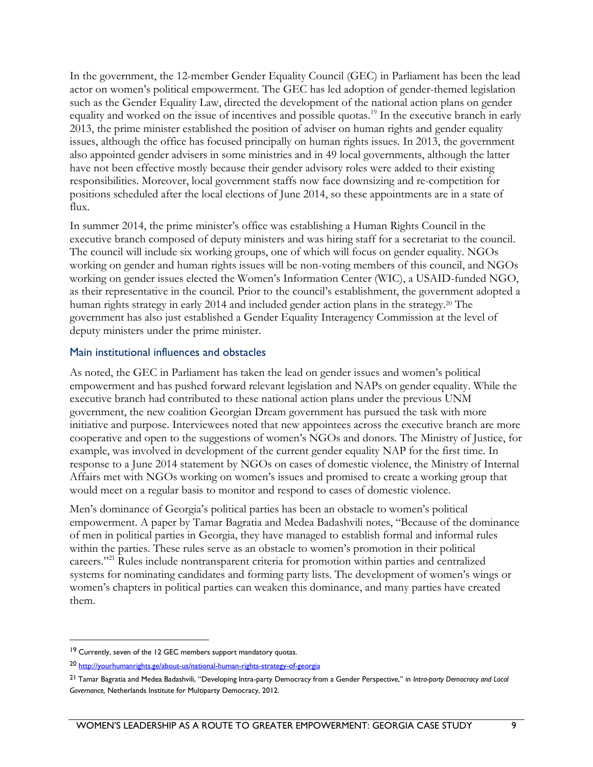In the government, the 12-member Gender Equality Council (GEC) in Parliament has been the lead actor on women's political empowerment. The GEC has led adoption of gender-themed legislation such as the Gender Equality Law, directed the development of the national action plans on gender equality and worked on the issue of incentives and possible quotas.<sup>19</sup> In the executive branch in early 2013, the prime minister established the position of adviser on human rights and gender equality issues, although the office has focused principally on human rights issues. In 2013, the government also appointed gender advisers in some ministries and in 49 local governments, although the latter have not been effective mostly because their gender advisory roles were added to their existing responsibilities. Moreover, local government staffs now face downsizing and re-competition for positions scheduled after the local elections of June 2014, so these appointments are in a state of flux.

In summer 2014, the prime minister's office was establishing a Human Rights Council in the executive branch composed of deputy ministers and was hiring staff for a secretariat to the council. The council will include six working groups, one of which will focus on gender equality. NGOs working on gender and human rights issues will be non-voting members of this council, and NGOs working on gender issues elected the Women's Information Center (WIC), a USAID-funded NGO, as their representative in the council. Prior to the council's establishment, the government adopted a human rights strategy in early 2014 and included gender action plans in the strategy.<sup>20</sup> The government has also just established a Gender Equality Interagency Commission at the level of deputy ministers under the prime minister.

#### Main institutional influences and obstacles

As noted, the GEC in Parliament has taken the lead on gender issues and women's political empowerment and has pushed forward relevant legislation and NAPs on gender equality. While the executive branch had contributed to these national action plans under the previous UNM government, the new coalition Georgian Dream government has pursued the task with more initiative and purpose. Interviewees noted that new appointees across the executive branch are more cooperative and open to the suggestions of women's NGOs and donors. The Ministry of Justice, for example, was involved in development of the current gender equality NAP for the first time. In response to a June 2014 statement by NGOs on cases of domestic violence, the Ministry of Internal Affairs met with NGOs working on women's issues and promised to create a working group that would meet on a regular basis to monitor and respond to cases of domestic violence.

Men's dominance of Georgia's political parties has been an obstacle to women's political empowerment. A paper by Tamar Bagratia and Medea Badashvili notes, "Because of the dominance of men in political parties in Georgia, they have managed to establish formal and informal rules within the parties. These rules serve as an obstacle to women's promotion in their political careers."<sup>21</sup> Rules include nontransparent criteria for promotion within parties and centralized systems for nominating candidates and forming party lists. The development of women's wings or women's chapters in political parties can weaken this dominance, and many parties have created them.

<sup>&</sup>lt;sup>19</sup> Currently, seven of the 12 GEC members support mandatory quotas.

<sup>20</sup> <http://yourhumanrights.ge/about-us/national-human-rights-strategy-of-georgia>

<sup>21</sup> Tamar Bagratia and Medea Badashvili, "Developing Intra-party Democracy from a Gender Perspective," in *Intra-party Democracy and Local Governance,* Netherlands Institute for Multiparty Democracy, 2012.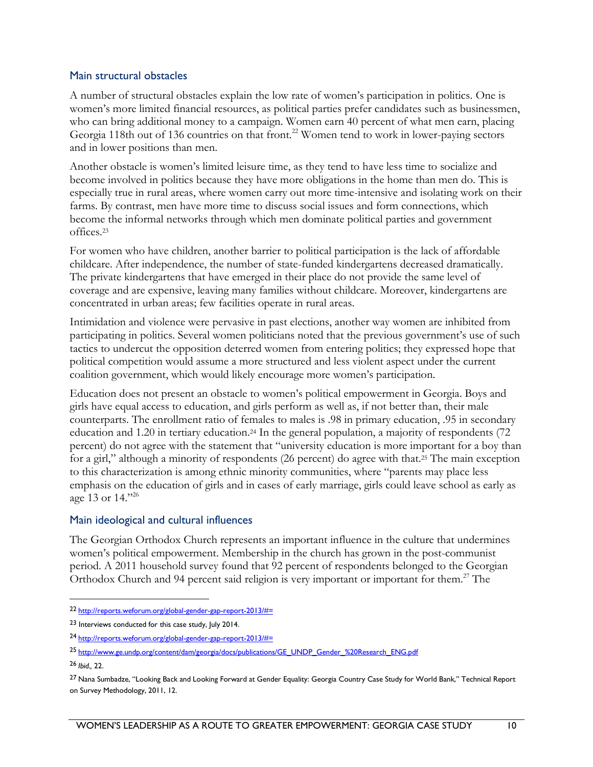#### Main structural obstacles

A number of structural obstacles explain the low rate of women's participation in politics. One is women's more limited financial resources, as political parties prefer candidates such as businessmen, who can bring additional money to a campaign. Women earn 40 percent of what men earn, placing Georgia 118th out of 136 countries on that front.<sup>22</sup> Women tend to work in lower-paying sectors and in lower positions than men.

Another obstacle is women's limited leisure time, as they tend to have less time to socialize and become involved in politics because they have more obligations in the home than men do. This is especially true in rural areas, where women carry out more time-intensive and isolating work on their farms. By contrast, men have more time to discuss social issues and form connections, which become the informal networks through which men dominate political parties and government offices.<sup>23</sup>

For women who have children, another barrier to political participation is the lack of affordable childcare. After independence, the number of state-funded kindergartens decreased dramatically. The private kindergartens that have emerged in their place do not provide the same level of coverage and are expensive, leaving many families without childcare. Moreover, kindergartens are concentrated in urban areas; few facilities operate in rural areas.

Intimidation and violence were pervasive in past elections, another way women are inhibited from participating in politics. Several women politicians noted that the previous government's use of such tactics to undercut the opposition deterred women from entering politics; they expressed hope that political competition would assume a more structured and less violent aspect under the current coalition government, which would likely encourage more women's participation.

Education does not present an obstacle to women's political empowerment in Georgia. Boys and girls have equal access to education, and girls perform as well as, if not better than, their male counterparts. The enrollment ratio of females to males is .98 in primary education, .95 in secondary education and 1.20 in tertiary education.<sup>24</sup> In the general population, a majority of respondents (72 percent) do not agree with the statement that "university education is more important for a boy than for a girl," although a minority of respondents (26 percent) do agree with that.<sup>25</sup> The main exception to this characterization is among ethnic minority communities, where "parents may place less emphasis on the education of girls and in cases of early marriage, girls could leave school as early as age 13 or 14."<sup>26</sup>

#### Main ideological and cultural influences

The Georgian Orthodox Church represents an important influence in the culture that undermines women's political empowerment. Membership in the church has grown in the post-communist period. A 2011 household survey found that 92 percent of respondents belonged to the Georgian Orthodox Church and 94 percent said religion is very important or important for them.<sup>27</sup> The

<sup>22</sup> [http://reports.weforum.org/global-gender-gap-report-2013/#=](http://reports.weforum.org/global-gender-gap-report-2013/%23=)

<sup>23</sup> Interviews conducted for this case study, July 2014.

<sup>24</sup> [http://reports.weforum.org/global-gender-gap-report-2013/#=](http://reports.weforum.org/global-gender-gap-report-2013/%23=)

<sup>25</sup> [http://www.ge.undp.org/content/dam/georgia/docs/publications/GE\\_UNDP\\_Gender\\_%20Research\\_ENG.pdf](http://www.ge.undp.org/content/dam/georgia/docs/publications/GE_UNDP_Gender_%20Research_ENG.pdf)

<sup>26</sup> *Ibid.,* 22.

<sup>&</sup>lt;sup>27</sup> Nana Sumbadze, "Looking Back and Looking Forward at Gender Equality: Georgia Country Case Study for World Bank," Technical Report on Survey Methodology, 2011, 12.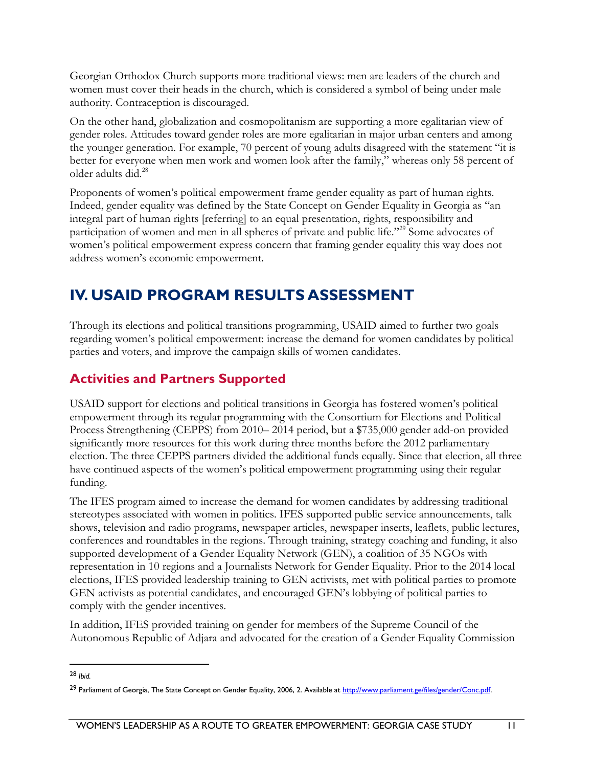Georgian Orthodox Church supports more traditional views: men are leaders of the church and women must cover their heads in the church, which is considered a symbol of being under male authority. Contraception is discouraged.

On the other hand, globalization and cosmopolitanism are supporting a more egalitarian view of gender roles. Attitudes toward gender roles are more egalitarian in major urban centers and among the younger generation. For example, 70 percent of young adults disagreed with the statement "it is better for everyone when men work and women look after the family," whereas only 58 percent of older adults did.<sup>28</sup>

Proponents of women's political empowerment frame gender equality as part of human rights. Indeed, gender equality was defined by the State Concept on Gender Equality in Georgia as "an integral part of human rights [referring] to an equal presentation, rights, responsibility and participation of women and men in all spheres of private and public life."<sup>29</sup> Some advocates of women's political empowerment express concern that framing gender equality this way does not address women's economic empowerment.

# <span id="page-15-0"></span>**IV. USAID PROGRAM RESULTS ASSESSMENT**

Through its elections and political transitions programming, USAID aimed to further two goals regarding women's political empowerment: increase the demand for women candidates by political parties and voters, and improve the campaign skills of women candidates.

## <span id="page-15-1"></span>**Activities and Partners Supported**

USAID support for elections and political transitions in Georgia has fostered women's political empowerment through its regular programming with the Consortium for Elections and Political Process Strengthening (CEPPS) from 2010– 2014 period, but a \$735,000 gender add-on provided significantly more resources for this work during three months before the 2012 parliamentary election. The three CEPPS partners divided the additional funds equally. Since that election, all three have continued aspects of the women's political empowerment programming using their regular funding.

The IFES program aimed to increase the demand for women candidates by addressing traditional stereotypes associated with women in politics. IFES supported public service announcements, talk shows, television and radio programs, newspaper articles, newspaper inserts, leaflets, public lectures, conferences and roundtables in the regions. Through training, strategy coaching and funding, it also supported development of a Gender Equality Network (GEN), a coalition of 35 NGOs with representation in 10 regions and a Journalists Network for Gender Equality. Prior to the 2014 local elections, IFES provided leadership training to GEN activists, met with political parties to promote GEN activists as potential candidates, and encouraged GEN's lobbying of political parties to comply with the gender incentives.

In addition, IFES provided training on gender for members of the Supreme Council of the Autonomous Republic of Adjara and advocated for the creation of a Gender Equality Commission

<sup>28</sup> *Ibid.*

<sup>&</sup>lt;sup>29</sup> Parliament of Georgia, The State Concept on Gender Equality, 2006, 2. Available at http://www.parliament.ge/files/gender/Conc.pdf.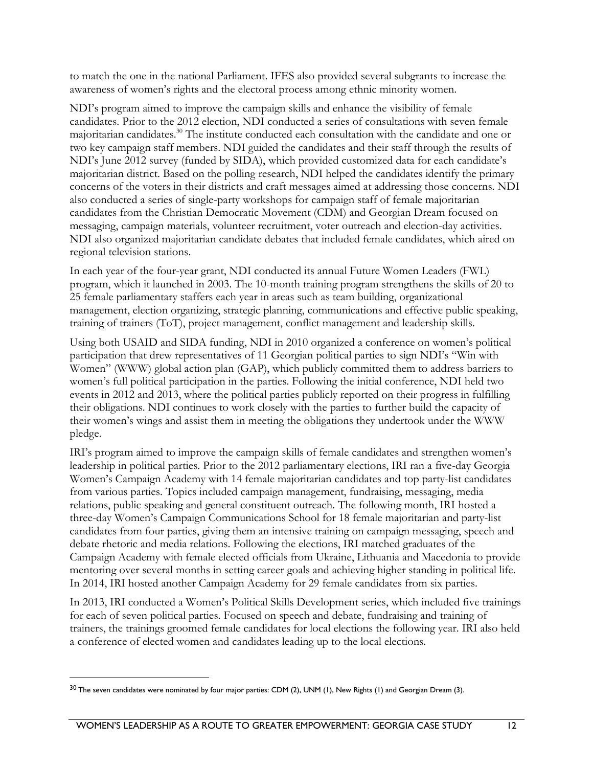to match the one in the national Parliament. IFES also provided several subgrants to increase the awareness of women's rights and the electoral process among ethnic minority women.

NDI's program aimed to improve the campaign skills and enhance the visibility of female candidates. Prior to the 2012 election, NDI conducted a series of consultations with seven female majoritarian candidates.<sup>30</sup> The institute conducted each consultation with the candidate and one or two key campaign staff members. NDI guided the candidates and their staff through the results of NDI's June 2012 survey (funded by SIDA), which provided customized data for each candidate's majoritarian district. Based on the polling research, NDI helped the candidates identify the primary concerns of the voters in their districts and craft messages aimed at addressing those concerns. NDI also conducted a series of single-party workshops for campaign staff of female majoritarian candidates from the Christian Democratic Movement (CDM) and Georgian Dream focused on messaging, campaign materials, volunteer recruitment, voter outreach and election-day activities. NDI also organized majoritarian candidate debates that included female candidates, which aired on regional television stations.

In each year of the four-year grant, NDI conducted its annual Future Women Leaders (FWL) program, which it launched in 2003. The 10-month training program strengthens the skills of 20 to 25 female parliamentary staffers each year in areas such as team building, organizational management, election organizing, strategic planning, communications and effective public speaking, training of trainers (ToT), project management, conflict management and leadership skills.

Using both USAID and SIDA funding, NDI in 2010 organized a conference on women's political participation that drew representatives of 11 Georgian political parties to sign NDI's "Win with Women" (WWW) global action plan (GAP), which publicly committed them to address barriers to women's full political participation in the parties. Following the initial conference, NDI held two events in 2012 and 2013, where the political parties publicly reported on their progress in fulfilling their obligations. NDI continues to work closely with the parties to further build the capacity of their women's wings and assist them in meeting the obligations they undertook under the WWW pledge.

IRI's program aimed to improve the campaign skills of female candidates and strengthen women's leadership in political parties. Prior to the 2012 parliamentary elections, IRI ran a five-day Georgia Women's Campaign Academy with 14 female majoritarian candidates and top party-list candidates from various parties. Topics included campaign management, fundraising, messaging, media relations, public speaking and general constituent outreach. The following month, IRI hosted a three-day Women's Campaign Communications School for 18 female majoritarian and party-list candidates from four parties, giving them an intensive training on campaign messaging, speech and debate rhetoric and media relations. Following the elections, IRI matched graduates of the Campaign Academy with female elected officials from Ukraine, Lithuania and Macedonia to provide mentoring over several months in setting career goals and achieving higher standing in political life. In 2014, IRI hosted another Campaign Academy for 29 female candidates from six parties.

In 2013, IRI conducted a Women's Political Skills Development series, which included five trainings for each of seven political parties. Focused on speech and debate, fundraising and training of trainers, the trainings groomed female candidates for local elections the following year. IRI also held a conference of elected women and candidates leading up to the local elections.

 $30$  The seven candidates were nominated by four major parties: CDM (2), UNM (1), New Rights (1) and Georgian Dream (3).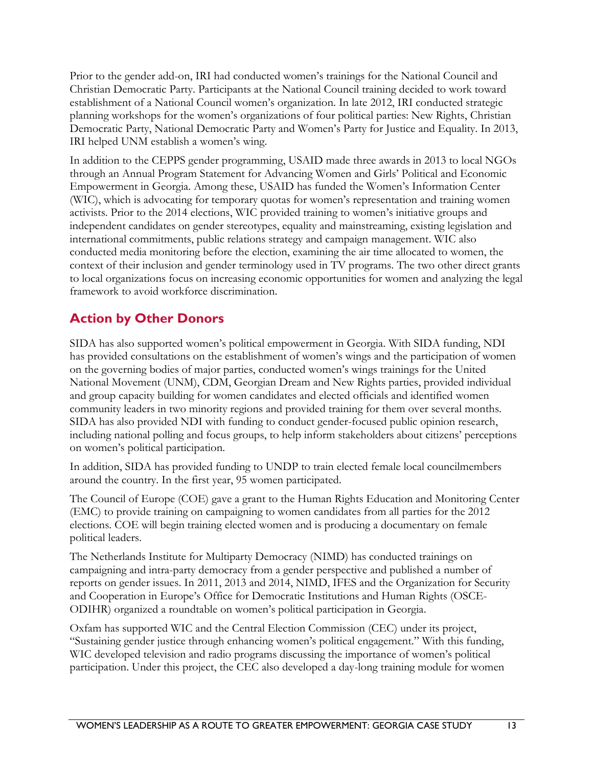Prior to the gender add-on, IRI had conducted women's trainings for the National Council and Christian Democratic Party. Participants at the National Council training decided to work toward establishment of a National Council women's organization. In late 2012, IRI conducted strategic planning workshops for the women's organizations of four political parties: New Rights, Christian Democratic Party, National Democratic Party and Women's Party for Justice and Equality. In 2013, IRI helped UNM establish a women's wing.

In addition to the CEPPS gender programming, USAID made three awards in 2013 to local NGOs through an Annual Program Statement for Advancing Women and Girls' Political and Economic Empowerment in Georgia. Among these, USAID has funded the Women's Information Center (WIC), which is advocating for temporary quotas for women's representation and training women activists. Prior to the 2014 elections, WIC provided training to women's initiative groups and independent candidates on gender stereotypes, equality and mainstreaming, existing legislation and international commitments, public relations strategy and campaign management. WIC also conducted media monitoring before the election, examining the air time allocated to women, the context of their inclusion and gender terminology used in TV programs. The two other direct grants to local organizations focus on increasing economic opportunities for women and analyzing the legal framework to avoid workforce discrimination.

## <span id="page-17-0"></span>**Action by Other Donors**

SIDA has also supported women's political empowerment in Georgia. With SIDA funding, NDI has provided consultations on the establishment of women's wings and the participation of women on the governing bodies of major parties, conducted women's wings trainings for the United National Movement (UNM), CDM, Georgian Dream and New Rights parties, provided individual and group capacity building for women candidates and elected officials and identified women community leaders in two minority regions and provided training for them over several months. SIDA has also provided NDI with funding to conduct gender-focused public opinion research, including national polling and focus groups, to help inform stakeholders about citizens' perceptions on women's political participation.

In addition, SIDA has provided funding to UNDP to train elected female local councilmembers around the country. In the first year, 95 women participated.

The Council of Europe (COE) gave a grant to the Human Rights Education and Monitoring Center (EMC) to provide training on campaigning to women candidates from all parties for the 2012 elections. COE will begin training elected women and is producing a documentary on female political leaders.

The Netherlands Institute for Multiparty Democracy (NIMD) has conducted trainings on campaigning and intra-party democracy from a gender perspective and published a number of reports on gender issues. In 2011, 2013 and 2014, NIMD, IFES and the Organization for Security and Cooperation in Europe's Office for Democratic Institutions and Human Rights (OSCE-ODIHR) organized a roundtable on women's political participation in Georgia.

Oxfam has supported WIC and the Central Election Commission (CEC) under its project, "Sustaining gender justice through enhancing women's political engagement." With this funding, WIC developed television and radio programs discussing the importance of women's political participation. Under this project, the CEC also developed a day-long training module for women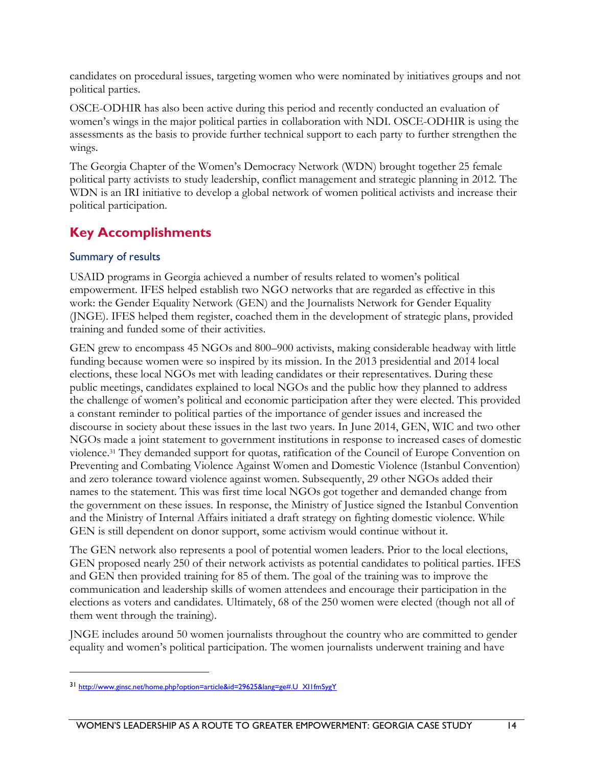candidates on procedural issues, targeting women who were nominated by initiatives groups and not political parties.

OSCE-ODHIR has also been active during this period and recently conducted an evaluation of women's wings in the major political parties in collaboration with NDI. OSCE-ODHIR is using the assessments as the basis to provide further technical support to each party to further strengthen the wings.

The Georgia Chapter of the Women's Democracy Network (WDN) brought together 25 female political party activists to study leadership, conflict management and strategic planning in 2012. The WDN is an IRI initiative to develop a global network of women political activists and increase their political participation.

## <span id="page-18-0"></span>**Key Accomplishments**

#### Summary of results

 $\overline{a}$ 

USAID programs in Georgia achieved a number of results related to women's political empowerment. IFES helped establish two NGO networks that are regarded as effective in this work: the Gender Equality Network (GEN) and the Journalists Network for Gender Equality (JNGE). IFES helped them register, coached them in the development of strategic plans, provided training and funded some of their activities.

GEN grew to encompass 45 NGOs and 800–900 activists, making considerable headway with little funding because women were so inspired by its mission. In the 2013 presidential and 2014 local elections, these local NGOs met with leading candidates or their representatives. During these public meetings, candidates explained to local NGOs and the public how they planned to address the challenge of women's political and economic participation after they were elected. This provided a constant reminder to political parties of the importance of gender issues and increased the discourse in society about these issues in the last two years. In June 2014, GEN, WIC and two other NGOs made a joint statement to government institutions in response to increased cases of domestic violence.<sup>31</sup> They demanded support for quotas, ratification of the Council of Europe Convention on Preventing and Combating Violence Against Women and Domestic Violence (Istanbul Convention) and zero tolerance toward violence against women. Subsequently, 29 other NGOs added their names to the statement. This was first time local NGOs got together and demanded change from the government on these issues. In response, the Ministry of Justice signed the Istanbul Convention and the Ministry of Internal Affairs initiated a draft strategy on fighting domestic violence. While GEN is still dependent on donor support, some activism would continue without it.

The GEN network also represents a pool of potential women leaders. Prior to the local elections, GEN proposed nearly 250 of their network activists as potential candidates to political parties. IFES and GEN then provided training for 85 of them. The goal of the training was to improve the communication and leadership skills of women attendees and encourage their participation in the elections as voters and candidates. Ultimately, 68 of the 250 women were elected (though not all of them went through the training).

JNGE includes around 50 women journalists throughout the country who are committed to gender equality and women's political participation. The women journalists underwent training and have

<sup>31</sup> [http://www.ginsc.net/home.php?option=article&id=29625&lang=ge#.U\\_XI1fmSygY](http://www.ginsc.net/home.php?option=article&id=29625&lang=ge%23.U_XI1fmSygY)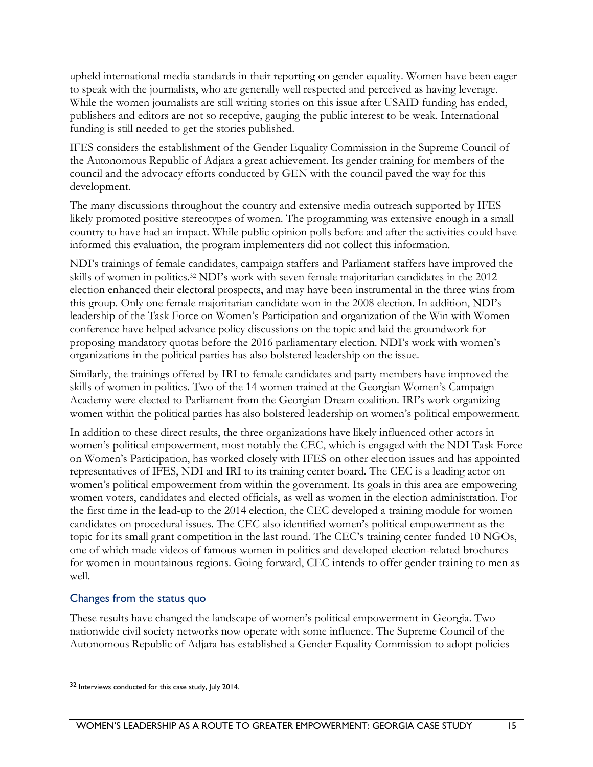upheld international media standards in their reporting on gender equality. Women have been eager to speak with the journalists, who are generally well respected and perceived as having leverage. While the women journalists are still writing stories on this issue after USAID funding has ended, publishers and editors are not so receptive, gauging the public interest to be weak. International funding is still needed to get the stories published.

IFES considers the establishment of the Gender Equality Commission in the Supreme Council of the Autonomous Republic of Adjara a great achievement. Its gender training for members of the council and the advocacy efforts conducted by GEN with the council paved the way for this development.

The many discussions throughout the country and extensive media outreach supported by IFES likely promoted positive stereotypes of women. The programming was extensive enough in a small country to have had an impact. While public opinion polls before and after the activities could have informed this evaluation, the program implementers did not collect this information.

NDI's trainings of female candidates, campaign staffers and Parliament staffers have improved the skills of women in politics.<sup>32</sup> NDI's work with seven female majoritarian candidates in the 2012 election enhanced their electoral prospects, and may have been instrumental in the three wins from this group. Only one female majoritarian candidate won in the 2008 election. In addition, NDI's leadership of the Task Force on Women's Participation and organization of the Win with Women conference have helped advance policy discussions on the topic and laid the groundwork for proposing mandatory quotas before the 2016 parliamentary election. NDI's work with women's organizations in the political parties has also bolstered leadership on the issue.

Similarly, the trainings offered by IRI to female candidates and party members have improved the skills of women in politics. Two of the 14 women trained at the Georgian Women's Campaign Academy were elected to Parliament from the Georgian Dream coalition. IRI's work organizing women within the political parties has also bolstered leadership on women's political empowerment.

In addition to these direct results, the three organizations have likely influenced other actors in women's political empowerment, most notably the CEC, which is engaged with the NDI Task Force on Women's Participation, has worked closely with IFES on other election issues and has appointed representatives of IFES, NDI and IRI to its training center board. The CEC is a leading actor on women's political empowerment from within the government. Its goals in this area are empowering women voters, candidates and elected officials, as well as women in the election administration. For the first time in the lead-up to the 2014 election, the CEC developed a training module for women candidates on procedural issues. The CEC also identified women's political empowerment as the topic for its small grant competition in the last round. The CEC's training center funded 10 NGOs, one of which made videos of famous women in politics and developed election-related brochures for women in mountainous regions. Going forward, CEC intends to offer gender training to men as well.

#### Changes from the status quo

 $\overline{a}$ 

These results have changed the landscape of women's political empowerment in Georgia. Two nationwide civil society networks now operate with some influence. The Supreme Council of the Autonomous Republic of Adjara has established a Gender Equality Commission to adopt policies

<sup>32</sup> Interviews conducted for this case study, July 2014.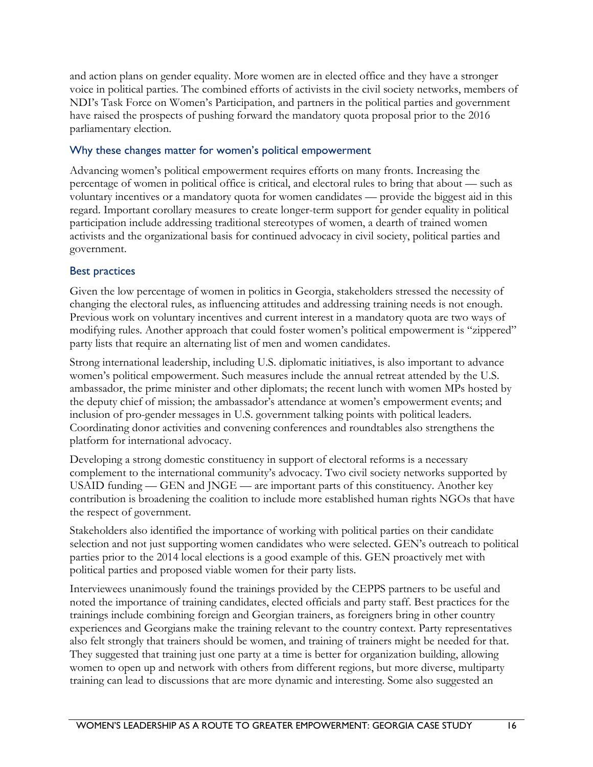and action plans on gender equality. More women are in elected office and they have a stronger voice in political parties. The combined efforts of activists in the civil society networks, members of NDI's Task Force on Women's Participation, and partners in the political parties and government have raised the prospects of pushing forward the mandatory quota proposal prior to the 2016 parliamentary election.

#### Why these changes matter for women's political empowerment

Advancing women's political empowerment requires efforts on many fronts. Increasing the percentage of women in political office is critical, and electoral rules to bring that about — such as voluntary incentives or a mandatory quota for women candidates — provide the biggest aid in this regard. Important corollary measures to create longer-term support for gender equality in political participation include addressing traditional stereotypes of women, a dearth of trained women activists and the organizational basis for continued advocacy in civil society, political parties and government.

#### Best practices

Given the low percentage of women in politics in Georgia, stakeholders stressed the necessity of changing the electoral rules, as influencing attitudes and addressing training needs is not enough. Previous work on voluntary incentives and current interest in a mandatory quota are two ways of modifying rules. Another approach that could foster women's political empowerment is "zippered" party lists that require an alternating list of men and women candidates.

Strong international leadership, including U.S. diplomatic initiatives, is also important to advance women's political empowerment. Such measures include the annual retreat attended by the U.S. ambassador, the prime minister and other diplomats; the recent lunch with women MPs hosted by the deputy chief of mission; the ambassador's attendance at women's empowerment events; and inclusion of pro-gender messages in U.S. government talking points with political leaders. Coordinating donor activities and convening conferences and roundtables also strengthens the platform for international advocacy.

Developing a strong domestic constituency in support of electoral reforms is a necessary complement to the international community's advocacy. Two civil society networks supported by USAID funding — GEN and JNGE — are important parts of this constituency. Another key contribution is broadening the coalition to include more established human rights NGOs that have the respect of government.

Stakeholders also identified the importance of working with political parties on their candidate selection and not just supporting women candidates who were selected. GEN's outreach to political parties prior to the 2014 local elections is a good example of this. GEN proactively met with political parties and proposed viable women for their party lists.

Interviewees unanimously found the trainings provided by the CEPPS partners to be useful and noted the importance of training candidates, elected officials and party staff. Best practices for the trainings include combining foreign and Georgian trainers, as foreigners bring in other country experiences and Georgians make the training relevant to the country context. Party representatives also felt strongly that trainers should be women, and training of trainers might be needed for that. They suggested that training just one party at a time is better for organization building, allowing women to open up and network with others from different regions, but more diverse, multiparty training can lead to discussions that are more dynamic and interesting. Some also suggested an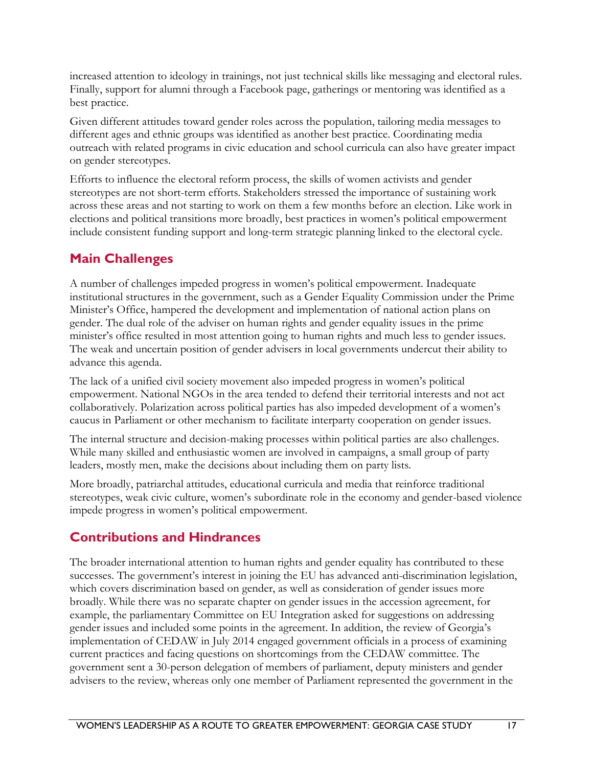increased attention to ideology in trainings, not just technical skills like messaging and electoral rules. Finally, support for alumni through a Facebook page, gatherings or mentoring was identified as a best practice.

Given different attitudes toward gender roles across the population, tailoring media messages to different ages and ethnic groups was identified as another best practice. Coordinating media outreach with related programs in civic education and school curricula can also have greater impact on gender stereotypes.

Efforts to influence the electoral reform process, the skills of women activists and gender stereotypes are not short-term efforts. Stakeholders stressed the importance of sustaining work across these areas and not starting to work on them a few months before an election. Like work in elections and political transitions more broadly, best practices in women's political empowerment include consistent funding support and long-term strategic planning linked to the electoral cycle.

## <span id="page-21-0"></span>**Main Challenges**

A number of challenges impeded progress in women's political empowerment. Inadequate institutional structures in the government, such as a Gender Equality Commission under the Prime Minister's Office, hampered the development and implementation of national action plans on gender. The dual role of the adviser on human rights and gender equality issues in the prime minister's office resulted in most attention going to human rights and much less to gender issues. The weak and uncertain position of gender advisers in local governments undercut their ability to advance this agenda.

The lack of a unified civil society movement also impeded progress in women's political empowerment. National NGOs in the area tended to defend their territorial interests and not act collaboratively. Polarization across political parties has also impeded development of a women's caucus in Parliament or other mechanism to facilitate interparty cooperation on gender issues.

The internal structure and decision-making processes within political parties are also challenges. While many skilled and enthusiastic women are involved in campaigns, a small group of party leaders, mostly men, make the decisions about including them on party lists.

More broadly, patriarchal attitudes, educational curricula and media that reinforce traditional stereotypes, weak civic culture, women's subordinate role in the economy and gender-based violence impede progress in women's political empowerment.

## <span id="page-21-1"></span>**Contributions and Hindrances**

The broader international attention to human rights and gender equality has contributed to these successes. The government's interest in joining the EU has advanced anti-discrimination legislation, which covers discrimination based on gender, as well as consideration of gender issues more broadly. While there was no separate chapter on gender issues in the accession agreement, for example, the parliamentary Committee on EU Integration asked for suggestions on addressing gender issues and included some points in the agreement. In addition, the review of Georgia's implementation of CEDAW in July 2014 engaged government officials in a process of examining current practices and facing questions on shortcomings from the CEDAW committee. The government sent a 30-person delegation of members of parliament, deputy ministers and gender advisers to the review, whereas only one member of Parliament represented the government in the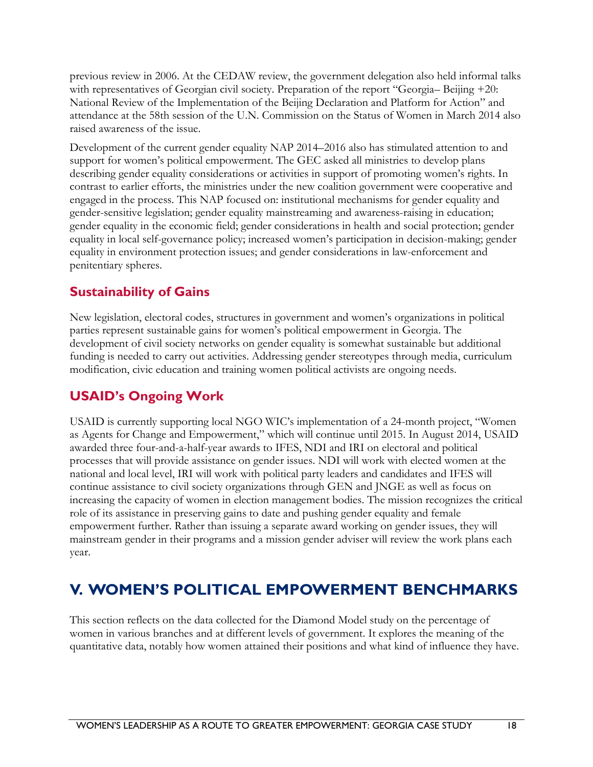previous review in 2006. At the CEDAW review, the government delegation also held informal talks with representatives of Georgian civil society. Preparation of the report "Georgia-Beijing +20: National Review of the Implementation of the Beijing Declaration and Platform for Action" and attendance at the 58th session of the U.N. Commission on the Status of Women in March 2014 also raised awareness of the issue.

Development of the current gender equality NAP 2014–2016 also has stimulated attention to and support for women's political empowerment. The GEC asked all ministries to develop plans describing gender equality considerations or activities in support of promoting women's rights. In contrast to earlier efforts, the ministries under the new coalition government were cooperative and engaged in the process. This NAP focused on: institutional mechanisms for gender equality and gender-sensitive legislation; gender equality mainstreaming and awareness-raising in education; gender equality in the economic field; gender considerations in health and social protection; gender equality in local self-governance policy; increased women's participation in decision-making; gender equality in environment protection issues; and gender considerations in law-enforcement and penitentiary spheres.

## <span id="page-22-0"></span>**Sustainability of Gains**

New legislation, electoral codes, structures in government and women's organizations in political parties represent sustainable gains for women's political empowerment in Georgia. The development of civil society networks on gender equality is somewhat sustainable but additional funding is needed to carry out activities. Addressing gender stereotypes through media, curriculum modification, civic education and training women political activists are ongoing needs.

## <span id="page-22-1"></span>**USAID's Ongoing Work**

<span id="page-22-2"></span>USAID is currently supporting local NGO WIC's implementation of a 24-month project, "Women as Agents for Change and Empowerment," which will continue until 2015. In August 2014, USAID awarded three four-and-a-half-year awards to IFES, NDI and IRI on electoral and political processes that will provide assistance on gender issues. NDI will work with elected women at the national and local level, IRI will work with political party leaders and candidates and IFES will continue assistance to civil society organizations through GEN and JNGE as well as focus on increasing the capacity of women in election management bodies. The mission recognizes the critical role of its assistance in preserving gains to date and pushing gender equality and female empowerment further. Rather than issuing a separate award working on gender issues, they will mainstream gender in their programs and a mission gender adviser will review the work plans each year.

# **V. WOMEN'S POLITICAL EMPOWERMENT BENCHMARKS**

This section reflects on the data collected for the Diamond Model study on the percentage of women in various branches and at different levels of government. It explores the meaning of the quantitative data, notably how women attained their positions and what kind of influence they have.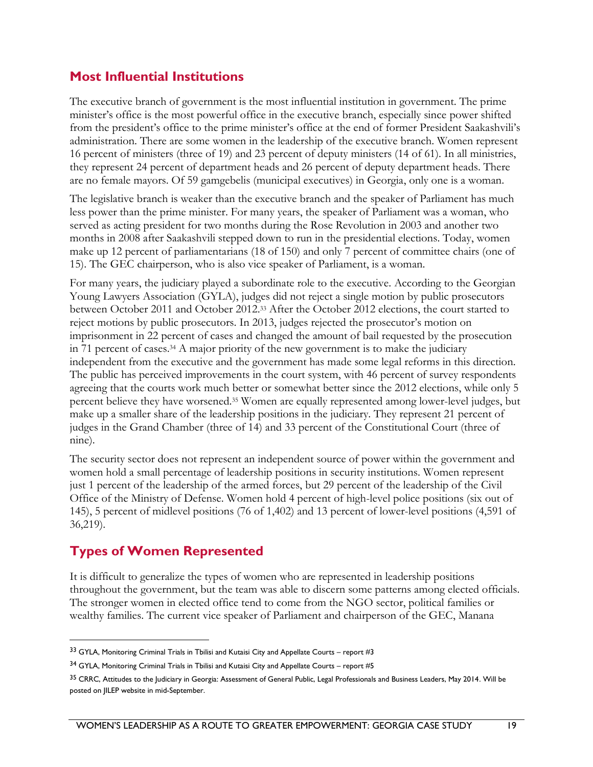## <span id="page-23-0"></span>**Most Influential Institutions**

The executive branch of government is the most influential institution in government. The prime minister's office is the most powerful office in the executive branch, especially since power shifted from the president's office to the prime minister's office at the end of former President Saakashvili's administration. There are some women in the leadership of the executive branch. Women represent 16 percent of ministers (three of 19) and 23 percent of deputy ministers (14 of 61). In all ministries, they represent 24 percent of department heads and 26 percent of deputy department heads. There are no female mayors. Of 59 gamgebelis (municipal executives) in Georgia, only one is a woman.

The legislative branch is weaker than the executive branch and the speaker of Parliament has much less power than the prime minister. For many years, the speaker of Parliament was a woman, who served as acting president for two months during the Rose Revolution in 2003 and another two months in 2008 after Saakashvili stepped down to run in the presidential elections. Today, women make up 12 percent of parliamentarians (18 of 150) and only 7 percent of committee chairs (one of 15). The GEC chairperson, who is also vice speaker of Parliament, is a woman.

For many years, the judiciary played a subordinate role to the executive. According to the Georgian Young Lawyers Association (GYLA), judges did not reject a single motion by public prosecutors between October 2011 and October 2012.<sup>33</sup> After the October 2012 elections, the court started to reject motions by public prosecutors. In 2013, judges rejected the prosecutor's motion on imprisonment in 22 percent of cases and changed the amount of bail requested by the prosecution in 71 percent of cases.<sup>34</sup> A major priority of the new government is to make the judiciary independent from the executive and the government has made some legal reforms in this direction. The public has perceived improvements in the court system, with 46 percent of survey respondents agreeing that the courts work much better or somewhat better since the 2012 elections, while only 5 percent believe they have worsened.<sup>35</sup> Women are equally represented among lower-level judges, but make up a smaller share of the leadership positions in the judiciary. They represent 21 percent of judges in the Grand Chamber (three of 14) and 33 percent of the Constitutional Court (three of nine).

The security sector does not represent an independent source of power within the government and women hold a small percentage of leadership positions in security institutions. Women represent just 1 percent of the leadership of the armed forces, but 29 percent of the leadership of the Civil Office of the Ministry of Defense. Women hold 4 percent of high-level police positions (six out of 145), 5 percent of midlevel positions (76 of 1,402) and 13 percent of lower-level positions (4,591 of 36,219).

## <span id="page-23-1"></span>**Types of Women Represented**

 $\overline{a}$ 

It is difficult to generalize the types of women who are represented in leadership positions throughout the government, but the team was able to discern some patterns among elected officials. The stronger women in elected office tend to come from the NGO sector, political families or wealthy families. The current vice speaker of Parliament and chairperson of the GEC, Manana

<sup>33</sup> GYLA, Monitoring Criminal Trials in Tbilisi and Kutaisi City and Appellate Courts – report #3

<sup>34</sup> GYLA, Monitoring Criminal Trials in Tbilisi and Kutaisi City and Appellate Courts – report #5

<sup>&</sup>lt;sup>35</sup> CRRC, Attitudes to the Judiciary in Georgia: Assessment of General Public, Legal Professionals and Business Leaders, May 2014. Will be posted on JILEP website in mid-September.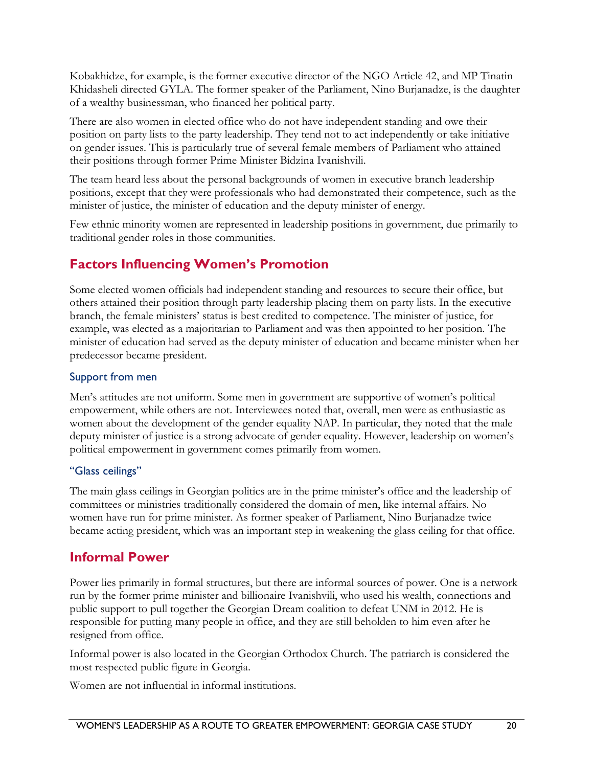Kobakhidze, for example, is the former executive director of the NGO Article 42, and MP Tinatin Khidasheli directed GYLA. The former speaker of the Parliament, Nino Burjanadze, is the daughter of a wealthy businessman, who financed her political party.

There are also women in elected office who do not have independent standing and owe their position on party lists to the party leadership. They tend not to act independently or take initiative on gender issues. This is particularly true of several female members of Parliament who attained their positions through former Prime Minister Bidzina Ivanishvili.

The team heard less about the personal backgrounds of women in executive branch leadership positions, except that they were professionals who had demonstrated their competence, such as the minister of justice, the minister of education and the deputy minister of energy.

Few ethnic minority women are represented in leadership positions in government, due primarily to traditional gender roles in those communities.

## <span id="page-24-0"></span>**Factors Influencing Women's Promotion**

Some elected women officials had independent standing and resources to secure their office, but others attained their position through party leadership placing them on party lists. In the executive branch, the female ministers' status is best credited to competence. The minister of justice, for example, was elected as a majoritarian to Parliament and was then appointed to her position. The minister of education had served as the deputy minister of education and became minister when her predecessor became president.

#### Support from men

Men's attitudes are not uniform. Some men in government are supportive of women's political empowerment, while others are not. Interviewees noted that, overall, men were as enthusiastic as women about the development of the gender equality NAP. In particular, they noted that the male deputy minister of justice is a strong advocate of gender equality. However, leadership on women's political empowerment in government comes primarily from women.

#### "Glass ceilings"

The main glass ceilings in Georgian politics are in the prime minister's office and the leadership of committees or ministries traditionally considered the domain of men, like internal affairs. No women have run for prime minister. As former speaker of Parliament, Nino Burjanadze twice became acting president, which was an important step in weakening the glass ceiling for that office.

## <span id="page-24-1"></span>**Informal Power**

Power lies primarily in formal structures, but there are informal sources of power. One is a network run by the former prime minister and billionaire Ivanishvili, who used his wealth, connections and public support to pull together the Georgian Dream coalition to defeat UNM in 2012. He is responsible for putting many people in office, and they are still beholden to him even after he resigned from office.

Informal power is also located in the Georgian Orthodox Church. The patriarch is considered the most respected public figure in Georgia.

Women are not influential in informal institutions.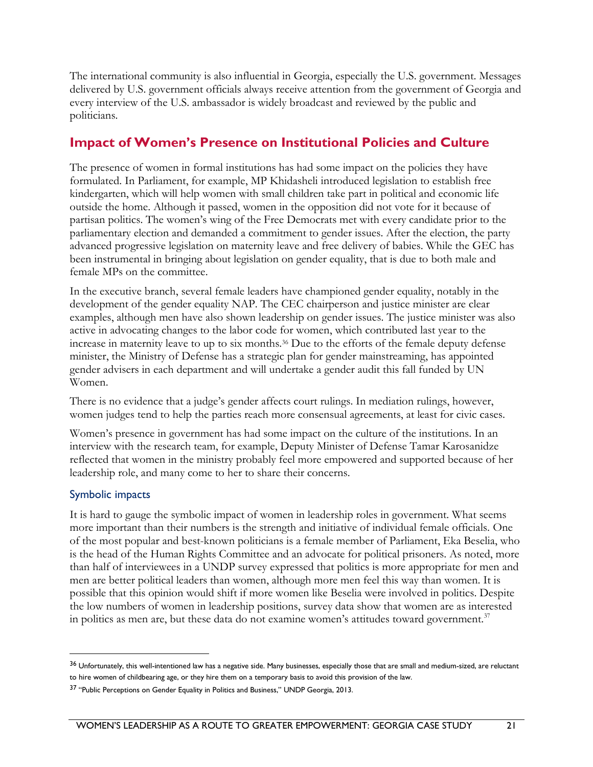The international community is also influential in Georgia, especially the U.S. government. Messages delivered by U.S. government officials always receive attention from the government of Georgia and every interview of the U.S. ambassador is widely broadcast and reviewed by the public and politicians.

### <span id="page-25-0"></span>**Impact of Women's Presence on Institutional Policies and Culture**

The presence of women in formal institutions has had some impact on the policies they have formulated. In Parliament, for example, MP Khidasheli introduced legislation to establish free kindergarten, which will help women with small children take part in political and economic life outside the home. Although it passed, women in the opposition did not vote for it because of partisan politics. The women's wing of the Free Democrats met with every candidate prior to the parliamentary election and demanded a commitment to gender issues. After the election, the party advanced progressive legislation on maternity leave and free delivery of babies. While the GEC has been instrumental in bringing about legislation on gender equality, that is due to both male and female MPs on the committee.

In the executive branch, several female leaders have championed gender equality, notably in the development of the gender equality NAP. The CEC chairperson and justice minister are clear examples, although men have also shown leadership on gender issues. The justice minister was also active in advocating changes to the labor code for women, which contributed last year to the increase in maternity leave to up to six months.<sup>36</sup> Due to the efforts of the female deputy defense minister, the Ministry of Defense has a strategic plan for gender mainstreaming, has appointed gender advisers in each department and will undertake a gender audit this fall funded by UN Women.

There is no evidence that a judge's gender affects court rulings. In mediation rulings, however, women judges tend to help the parties reach more consensual agreements, at least for civic cases.

Women's presence in government has had some impact on the culture of the institutions. In an interview with the research team, for example, Deputy Minister of Defense Tamar Karosanidze reflected that women in the ministry probably feel more empowered and supported because of her leadership role, and many come to her to share their concerns.

#### Symbolic impacts

 $\overline{a}$ 

It is hard to gauge the symbolic impact of women in leadership roles in government. What seems more important than their numbers is the strength and initiative of individual female officials. One of the most popular and best-known politicians is a female member of Parliament, Eka Beselia, who is the head of the Human Rights Committee and an advocate for political prisoners. As noted, more than half of interviewees in a UNDP survey expressed that politics is more appropriate for men and men are better political leaders than women, although more men feel this way than women. It is possible that this opinion would shift if more women like Beselia were involved in politics. Despite the low numbers of women in leadership positions, survey data show that women are as interested in politics as men are, but these data do not examine women's attitudes toward government.<sup>37</sup>

<sup>&</sup>lt;sup>36</sup> Unfortunately, this well-intentioned law has a negative side. Many businesses, especially those that are small and medium-sized, are reluctant to hire women of childbearing age, or they hire them on a temporary basis to avoid this provision of the law.

<sup>&</sup>lt;sup>37</sup> "Public Perceptions on Gender Equality in Politics and Business," UNDP Georgia, 2013.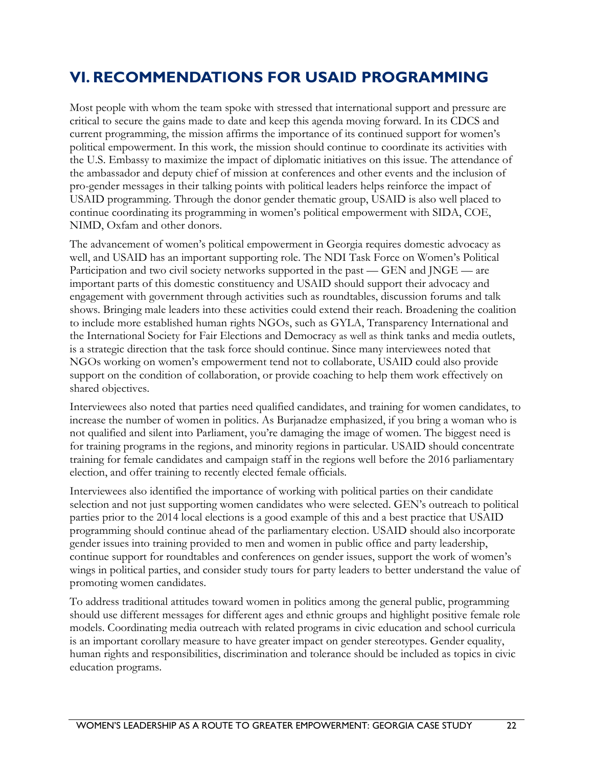# <span id="page-26-0"></span>**VI. RECOMMENDATIONS FOR USAID PROGRAMMING**

Most people with whom the team spoke with stressed that international support and pressure are critical to secure the gains made to date and keep this agenda moving forward. In its CDCS and current programming, the mission affirms the importance of its continued support for women's political empowerment. In this work, the mission should continue to coordinate its activities with the U.S. Embassy to maximize the impact of diplomatic initiatives on this issue. The attendance of the ambassador and deputy chief of mission at conferences and other events and the inclusion of pro-gender messages in their talking points with political leaders helps reinforce the impact of USAID programming. Through the donor gender thematic group, USAID is also well placed to continue coordinating its programming in women's political empowerment with SIDA, COE, NIMD, Oxfam and other donors.

The advancement of women's political empowerment in Georgia requires domestic advocacy as well, and USAID has an important supporting role. The NDI Task Force on Women's Political Participation and two civil society networks supported in the past — GEN and JNGE — are important parts of this domestic constituency and USAID should support their advocacy and engagement with government through activities such as roundtables, discussion forums and talk shows. Bringing male leaders into these activities could extend their reach. Broadening the coalition to include more established human rights NGOs, such as GYLA, Transparency International and the International Society for Fair Elections and Democracy as well as think tanks and media outlets, is a strategic direction that the task force should continue. Since many interviewees noted that NGOs working on women's empowerment tend not to collaborate, USAID could also provide support on the condition of collaboration, or provide coaching to help them work effectively on shared objectives.

Interviewees also noted that parties need qualified candidates, and training for women candidates, to increase the number of women in politics. As Burjanadze emphasized, if you bring a woman who is not qualified and silent into Parliament, you're damaging the image of women. The biggest need is for training programs in the regions, and minority regions in particular. USAID should concentrate training for female candidates and campaign staff in the regions well before the 2016 parliamentary election, and offer training to recently elected female officials.

Interviewees also identified the importance of working with political parties on their candidate selection and not just supporting women candidates who were selected. GEN's outreach to political parties prior to the 2014 local elections is a good example of this and a best practice that USAID programming should continue ahead of the parliamentary election. USAID should also incorporate gender issues into training provided to men and women in public office and party leadership, continue support for roundtables and conferences on gender issues, support the work of women's wings in political parties, and consider study tours for party leaders to better understand the value of promoting women candidates.

To address traditional attitudes toward women in politics among the general public, programming should use different messages for different ages and ethnic groups and highlight positive female role models. Coordinating media outreach with related programs in civic education and school curricula is an important corollary measure to have greater impact on gender stereotypes. Gender equality, human rights and responsibilities, discrimination and tolerance should be included as topics in civic education programs.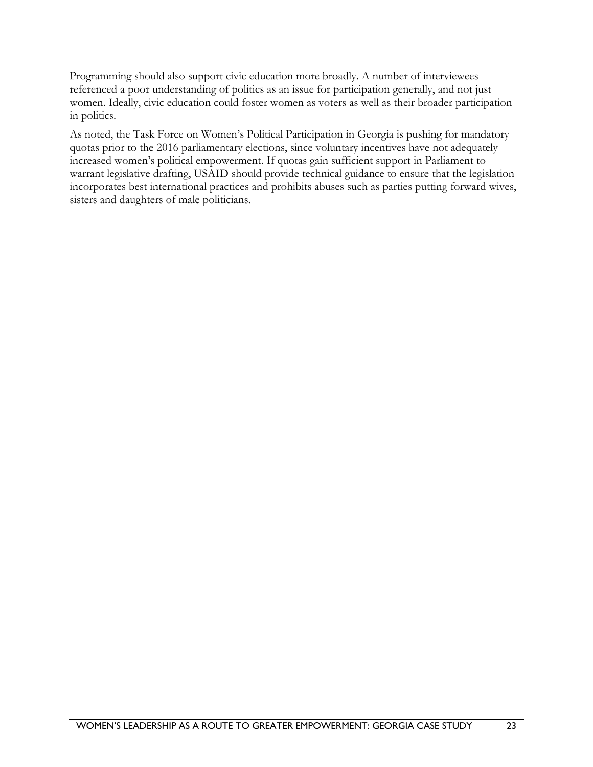Programming should also support civic education more broadly. A number of interviewees referenced a poor understanding of politics as an issue for participation generally, and not just women. Ideally, civic education could foster women as voters as well as their broader participation in politics.

As noted, the Task Force on Women's Political Participation in Georgia is pushing for mandatory quotas prior to the 2016 parliamentary elections, since voluntary incentives have not adequately increased women's political empowerment. If quotas gain sufficient support in Parliament to warrant legislative drafting, USAID should provide technical guidance to ensure that the legislation incorporates best international practices and prohibits abuses such as parties putting forward wives, sisters and daughters of male politicians.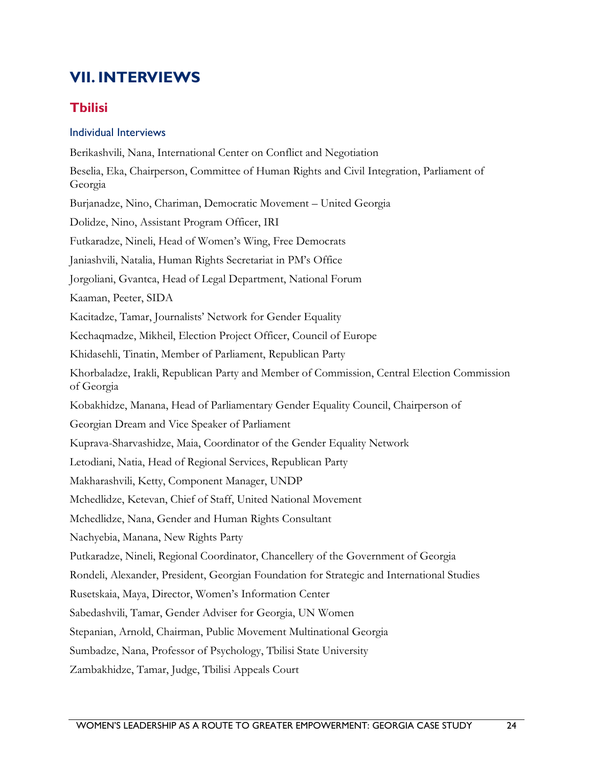# <span id="page-28-0"></span>**VII. INTERVIEWS**

## <span id="page-28-1"></span>**Tbilisi**

#### Individual Interviews

Berikashvili, Nana, International Center on Conflict and Negotiation Beselia, Eka, Chairperson, Committee of Human Rights and Civil Integration, Parliament of Georgia Burjanadze, Nino, Chariman, Democratic Movement – United Georgia Dolidze, Nino, Assistant Program Officer, IRI Futkaradze, Nineli, Head of Women's Wing, Free Democrats Janiashvili, Natalia, Human Rights Secretariat in PM's Office Jorgoliani, Gvantca, Head of Legal Department, National Forum Kaaman, Peeter, SIDA Kacitadze, Tamar, Journalists' Network for Gender Equality Kechaqmadze, Mikheil, Election Project Officer, Council of Europe Khidasehli, Tinatin, Member of Parliament, Republican Party Khorbaladze, Irakli, Republican Party and Member of Commission, Central Election Commission of Georgia Kobakhidze, Manana, Head of Parliamentary Gender Equality Council, Chairperson of Georgian Dream and Vice Speaker of Parliament Kuprava-Sharvashidze, Maia, Coordinator of the Gender Equality Network Letodiani, Natia, Head of Regional Services, Republican Party Makharashvili, Ketty, Component Manager, UNDP Mchedlidze, Ketevan, Chief of Staff, United National Movement Mchedlidze, Nana, Gender and Human Rights Consultant Nachyebia, Manana, New Rights Party Putkaradze, Nineli, Regional Coordinator, Chancellery of the Government of Georgia Rondeli, Alexander, President, Georgian Foundation for Strategic and International Studies Rusetskaia, Maya, Director, Women's Information Center Sabedashvili, Tamar, Gender Adviser for Georgia, UN Women Stepanian, Arnold, Chairman, Public Movement Multinational Georgia Sumbadze, Nana, Professor of Psychology, Tbilisi State University

Zambakhidze, Tamar, Judge, Tbilisi Appeals Court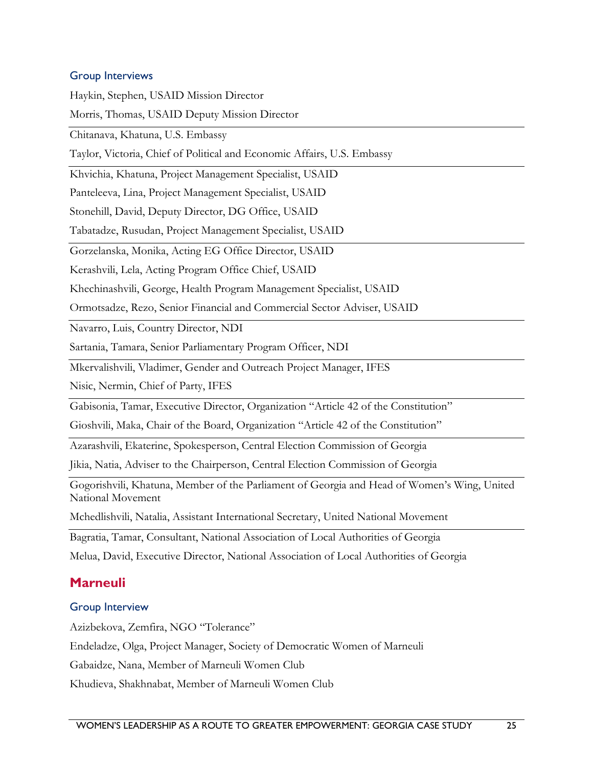#### Group Interviews

Haykin, Stephen, USAID Mission Director Morris, Thomas, USAID Deputy Mission Director Chitanava, Khatuna, U.S. Embassy Taylor, Victoria, Chief of Political and Economic Affairs, U.S. Embassy Khvichia, Khatuna, Project Management Specialist, USAID Panteleeva, Lina, Project Management Specialist, USAID Stonehill, David, Deputy Director, DG Office, USAID Tabatadze, Rusudan, Project Management Specialist, USAID Gorzelanska, Monika, Acting EG Office Director, USAID Kerashvili, Lela, Acting Program Office Chief, USAID Khechinashvili, George, Health Program Management Specialist, USAID Ormotsadze, Rezo, Senior Financial and Commercial Sector Adviser, USAID Navarro, Luis, Country Director, NDI Sartania, Tamara, Senior Parliamentary Program Officer, NDI Mkervalishvili, Vladimer, Gender and Outreach Project Manager, IFES Nisic, Nermin, Chief of Party, IFES Gabisonia, Tamar, Executive Director, Organization "Article 42 of the Constitution" Gioshvili, Maka, Chair of the Board, Organization "Article 42 of the Constitution" Azarashvili, Ekaterine, Spokesperson, Central Election Commission of Georgia Jikia, Natia, Adviser to the Chairperson, Central Election Commission of Georgia Gogorishvili, Khatuna, Member of the Parliament of Georgia and Head of Women's Wing, United National Movement Mchedlishvili, Natalia, Assistant International Secretary, United National Movement Bagratia, Tamar, Consultant, National Association of Local Authorities of Georgia Melua, David, Executive Director, National Association of Local Authorities of Georgia

### <span id="page-29-0"></span>**Marneuli**

#### Group Interview

Azizbekova, Zemfira, NGO "Tolerance"

Endeladze, Olga, Project Manager, Society of Democratic Women of Marneuli

Gabaidze, Nana, Member of Marneuli Women Club

Khudieva, Shakhnabat, Member of Marneuli Women Club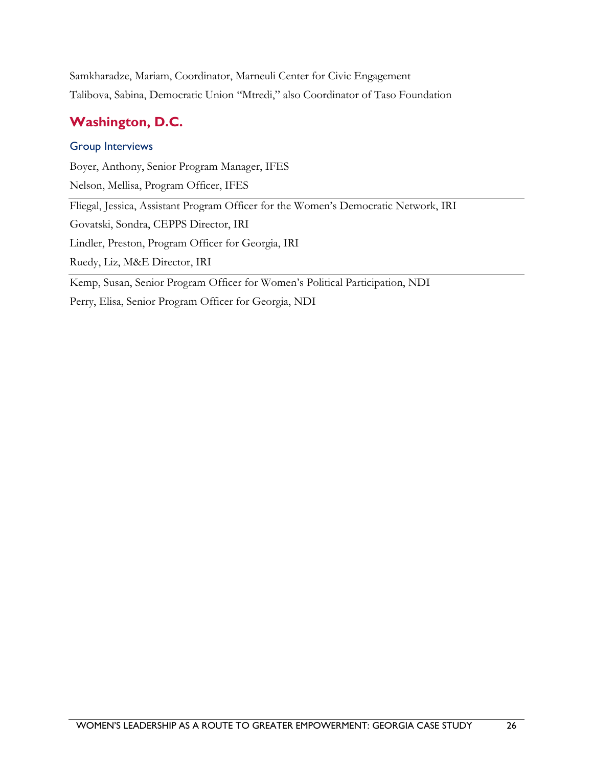Samkharadze, Mariam, Coordinator, Marneuli Center for Civic Engagement Talibova, Sabina, Democratic Union "Mtredi," also Coordinator of Taso Foundation

## <span id="page-30-0"></span>**Washington, D.C.**

#### Group Interviews

Boyer, Anthony, Senior Program Manager, IFES

Nelson, Mellisa, Program Officer, IFES

Fliegal, Jessica, Assistant Program Officer for the Women's Democratic Network, IRI

Govatski, Sondra, CEPPS Director, IRI

Lindler, Preston, Program Officer for Georgia, IRI

Ruedy, Liz, M&E Director, IRI

Kemp, Susan, Senior Program Officer for Women's Political Participation, NDI

Perry, Elisa, Senior Program Officer for Georgia, NDI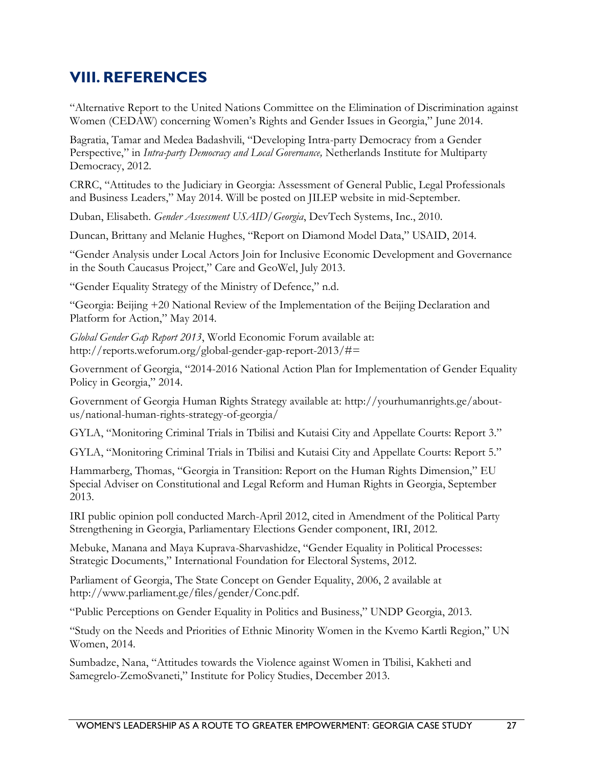## <span id="page-31-0"></span>**VIII. REFERENCES**

"Alternative Report to the United Nations Committee on the Elimination of Discrimination against Women (CEDAW) concerning Women's Rights and Gender Issues in Georgia," June 2014.

Bagratia, Tamar and Medea Badashvili, "Developing Intra-party Democracy from a Gender Perspective," in *Intra-party Democracy and Local Governance,* Netherlands Institute for Multiparty Democracy, 2012.

CRRC, "Attitudes to the Judiciary in Georgia: Assessment of General Public, Legal Professionals and Business Leaders," May 2014. Will be posted on JILEP website in mid-September.

Duban, Elisabeth. *Gender Assessment USAID/Georgia*, DevTech Systems, Inc., 2010.

Duncan, Brittany and Melanie Hughes, "Report on Diamond Model Data," USAID, 2014.

"Gender Analysis under Local Actors Join for Inclusive Economic Development and Governance in the South Caucasus Project," Care and GeoWel, July 2013.

"Gender Equality Strategy of the Ministry of Defence," n.d.

"Georgia: Beijing +20 National Review of the Implementation of the Beijing Declaration and Platform for Action," May 2014.

*Global Gender Gap Report 2013*, World Economic Forum available at: http://reports.weforum.org/global-gender-gap-report-2013/#=

Government of Georgia, "2014-2016 National Action Plan for Implementation of Gender Equality Policy in Georgia," 2014.

Government of Georgia Human Rights Strategy available at: [http://yourhumanrights.ge/about](http://yourhumanrights.ge/about-us/national-human-rights-strategy-of-georgia/)[us/national-human-rights-strategy-of-georgia/](http://yourhumanrights.ge/about-us/national-human-rights-strategy-of-georgia/)

GYLA, "Monitoring Criminal Trials in Tbilisi and Kutaisi City and Appellate Courts: Report 3."

GYLA, "Monitoring Criminal Trials in Tbilisi and Kutaisi City and Appellate Courts: Report 5."

Hammarberg, Thomas, "Georgia in Transition: Report on the Human Rights Dimension," EU Special Adviser on Constitutional and Legal Reform and Human Rights in Georgia, September 2013.

IRI public opinion poll conducted March-April 2012, cited in Amendment of the Political Party Strengthening in Georgia, Parliamentary Elections Gender component, IRI, 2012.

Mebuke, Manana and Maya Kuprava-Sharvashidze, "Gender Equality in Political Processes: Strategic Documents," International Foundation for Electoral Systems, 2012.

Parliament of Georgia, The State Concept on Gender Equality, 2006, 2 available at http://www.parliament.ge/files/gender/Conc.pdf.

"Public Perceptions on Gender Equality in Politics and Business," UNDP Georgia, 2013.

"Study on the Needs and Priorities of Ethnic Minority Women in the Kvemo Kartli Region," UN Women, 2014.

Sumbadze, Nana, "Attitudes towards the Violence against Women in Tbilisi, Kakheti and Samegrelo-ZemoSvaneti," Institute for Policy Studies, December 2013.